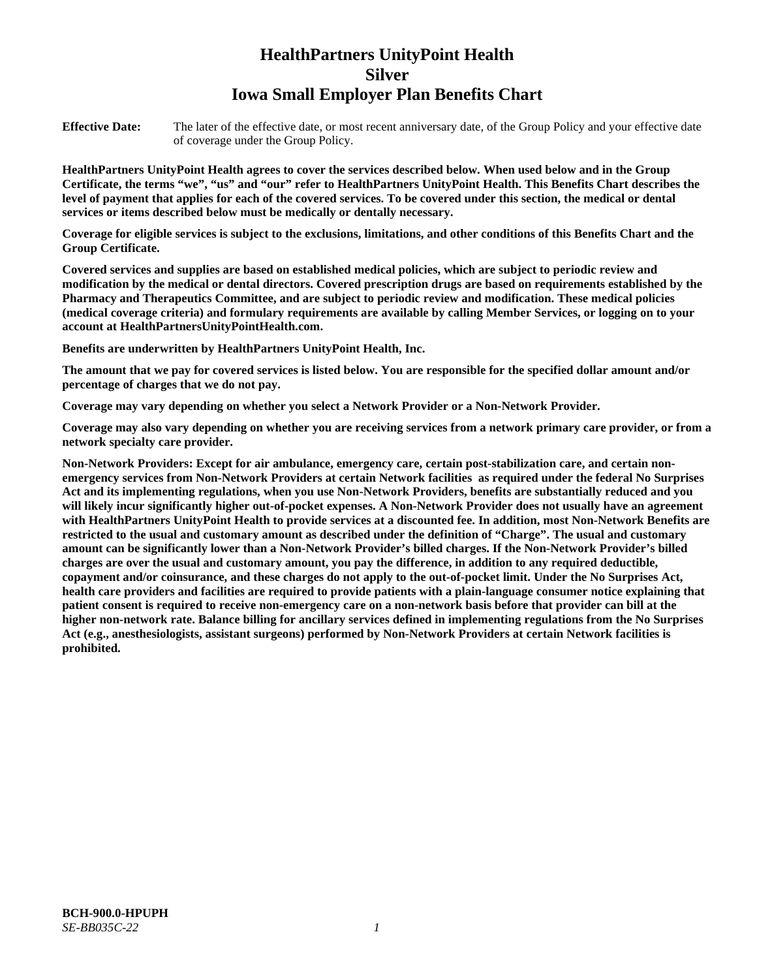# **HealthPartners UnityPoint Health Silver Iowa Small Employer Plan Benefits Chart**

**Effective Date:** The later of the effective date, or most recent anniversary date, of the Group Policy and your effective date of coverage under the Group Policy.

**HealthPartners UnityPoint Health agrees to cover the services described below. When used below and in the Group Certificate, the terms "we", "us" and "our" refer to HealthPartners UnityPoint Health. This Benefits Chart describes the level of payment that applies for each of the covered services. To be covered under this section, the medical or dental services or items described below must be medically or dentally necessary.**

**Coverage for eligible services is subject to the exclusions, limitations, and other conditions of this Benefits Chart and the Group Certificate.** 

**Covered services and supplies are based on established medical policies, which are subject to periodic review and modification by the medical or dental directors. Covered prescription drugs are based on requirements established by the Pharmacy and Therapeutics Committee, and are subject to periodic review and modification. These medical policies (medical coverage criteria) and formulary requirements are available by calling Member Services, or logging on to your account at [HealthPartnersUnityPointHealth.com.](https://www.healthpartnersunitypointhealth.com/)**

**Benefits are underwritten by HealthPartners UnityPoint Health, Inc.**

**The amount that we pay for covered services is listed below. You are responsible for the specified dollar amount and/or percentage of charges that we do not pay.**

**Coverage may vary depending on whether you select a Network Provider or a Non-Network Provider.**

**Coverage may also vary depending on whether you are receiving services from a network primary care provider, or from a network specialty care provider.**

**Non-Network Providers: Except for air ambulance, emergency care, certain post-stabilization care, and certain nonemergency services from Non-Network Providers at certain Network facilities as required under the federal No Surprises Act and its implementing regulations, when you use Non-Network Providers, benefits are substantially reduced and you will likely incur significantly higher out-of-pocket expenses. A Non-Network Provider does not usually have an agreement with HealthPartners UnityPoint Health to provide services at a discounted fee. In addition, most Non-Network Benefits are restricted to the usual and customary amount as described under the definition of "Charge". The usual and customary amount can be significantly lower than a Non-Network Provider's billed charges. If the Non-Network Provider's billed charges are over the usual and customary amount, you pay the difference, in addition to any required deductible, copayment and/or coinsurance, and these charges do not apply to the out-of-pocket limit. Under the No Surprises Act, health care providers and facilities are required to provide patients with a plain-language consumer notice explaining that patient consent is required to receive non-emergency care on a non-network basis before that provider can bill at the higher non-network rate. Balance billing for ancillary services defined in implementing regulations from the No Surprises Act (e.g., anesthesiologists, assistant surgeons) performed by Non-Network Providers at certain Network facilities is prohibited.**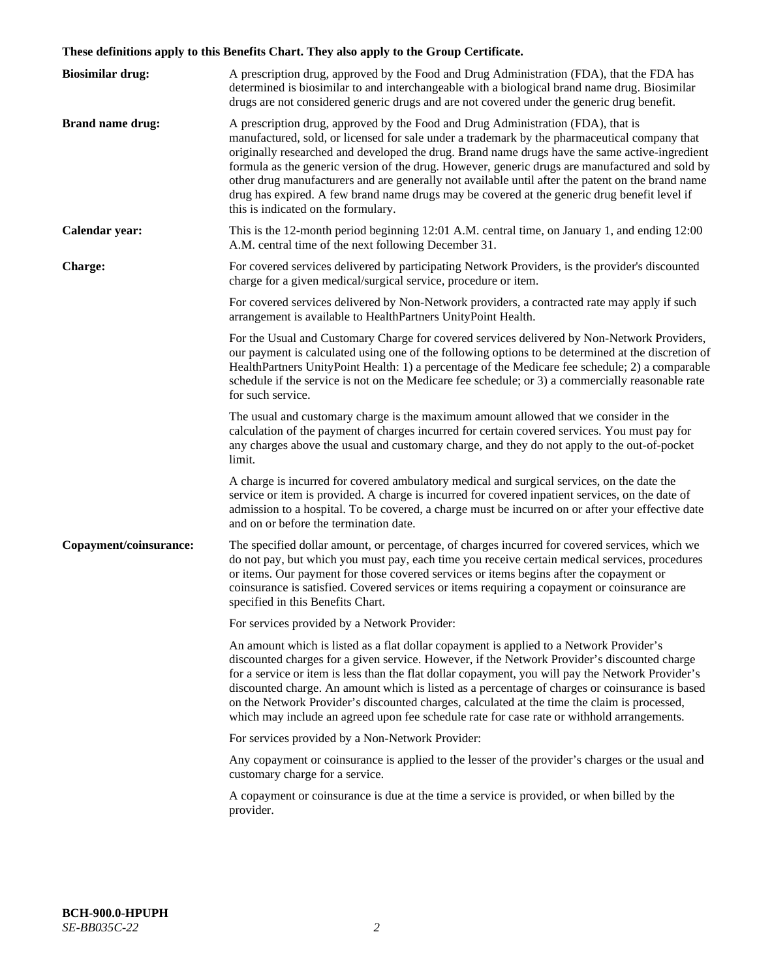# **These definitions apply to this Benefits Chart. They also apply to the Group Certificate.**

| <b>Biosimilar drug:</b> | A prescription drug, approved by the Food and Drug Administration (FDA), that the FDA has<br>determined is biosimilar to and interchangeable with a biological brand name drug. Biosimilar<br>drugs are not considered generic drugs and are not covered under the generic drug benefit.                                                                                                                                                                                                                                                                                                                                           |
|-------------------------|------------------------------------------------------------------------------------------------------------------------------------------------------------------------------------------------------------------------------------------------------------------------------------------------------------------------------------------------------------------------------------------------------------------------------------------------------------------------------------------------------------------------------------------------------------------------------------------------------------------------------------|
| <b>Brand name drug:</b> | A prescription drug, approved by the Food and Drug Administration (FDA), that is<br>manufactured, sold, or licensed for sale under a trademark by the pharmaceutical company that<br>originally researched and developed the drug. Brand name drugs have the same active-ingredient<br>formula as the generic version of the drug. However, generic drugs are manufactured and sold by<br>other drug manufacturers and are generally not available until after the patent on the brand name<br>drug has expired. A few brand name drugs may be covered at the generic drug benefit level if<br>this is indicated on the formulary. |
| Calendar year:          | This is the 12-month period beginning 12:01 A.M. central time, on January 1, and ending 12:00<br>A.M. central time of the next following December 31.                                                                                                                                                                                                                                                                                                                                                                                                                                                                              |
| <b>Charge:</b>          | For covered services delivered by participating Network Providers, is the provider's discounted<br>charge for a given medical/surgical service, procedure or item.                                                                                                                                                                                                                                                                                                                                                                                                                                                                 |
|                         | For covered services delivered by Non-Network providers, a contracted rate may apply if such<br>arrangement is available to HealthPartners UnityPoint Health.                                                                                                                                                                                                                                                                                                                                                                                                                                                                      |
|                         | For the Usual and Customary Charge for covered services delivered by Non-Network Providers,<br>our payment is calculated using one of the following options to be determined at the discretion of<br>HealthPartners UnityPoint Health: 1) a percentage of the Medicare fee schedule; 2) a comparable<br>schedule if the service is not on the Medicare fee schedule; or 3) a commercially reasonable rate<br>for such service.                                                                                                                                                                                                     |
|                         | The usual and customary charge is the maximum amount allowed that we consider in the<br>calculation of the payment of charges incurred for certain covered services. You must pay for<br>any charges above the usual and customary charge, and they do not apply to the out-of-pocket<br>limit.                                                                                                                                                                                                                                                                                                                                    |
|                         | A charge is incurred for covered ambulatory medical and surgical services, on the date the<br>service or item is provided. A charge is incurred for covered inpatient services, on the date of<br>admission to a hospital. To be covered, a charge must be incurred on or after your effective date<br>and on or before the termination date.                                                                                                                                                                                                                                                                                      |
| Copayment/coinsurance:  | The specified dollar amount, or percentage, of charges incurred for covered services, which we<br>do not pay, but which you must pay, each time you receive certain medical services, procedures<br>or items. Our payment for those covered services or items begins after the copayment or<br>coinsurance is satisfied. Covered services or items requiring a copayment or coinsurance are<br>specified in this Benefits Chart.                                                                                                                                                                                                   |
|                         | For services provided by a Network Provider:                                                                                                                                                                                                                                                                                                                                                                                                                                                                                                                                                                                       |
|                         | An amount which is listed as a flat dollar copayment is applied to a Network Provider's<br>discounted charges for a given service. However, if the Network Provider's discounted charge<br>for a service or item is less than the flat dollar copayment, you will pay the Network Provider's<br>discounted charge. An amount which is listed as a percentage of charges or coinsurance is based<br>on the Network Provider's discounted charges, calculated at the time the claim is processed,<br>which may include an agreed upon fee schedule rate for case rate or withhold arrangements.                                      |
|                         | For services provided by a Non-Network Provider:                                                                                                                                                                                                                                                                                                                                                                                                                                                                                                                                                                                   |
|                         | Any copayment or coinsurance is applied to the lesser of the provider's charges or the usual and<br>customary charge for a service.                                                                                                                                                                                                                                                                                                                                                                                                                                                                                                |
|                         | A copayment or coinsurance is due at the time a service is provided, or when billed by the<br>provider.                                                                                                                                                                                                                                                                                                                                                                                                                                                                                                                            |
|                         |                                                                                                                                                                                                                                                                                                                                                                                                                                                                                                                                                                                                                                    |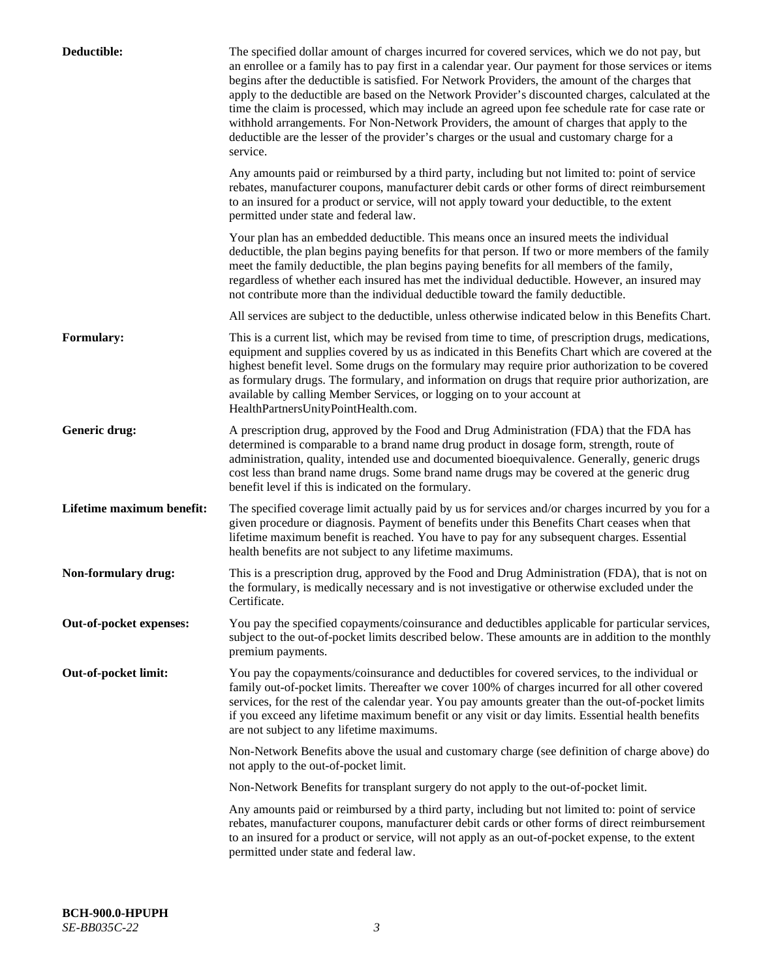| Deductible:               | The specified dollar amount of charges incurred for covered services, which we do not pay, but<br>an enrollee or a family has to pay first in a calendar year. Our payment for those services or items<br>begins after the deductible is satisfied. For Network Providers, the amount of the charges that<br>apply to the deductible are based on the Network Provider's discounted charges, calculated at the<br>time the claim is processed, which may include an agreed upon fee schedule rate for case rate or<br>withhold arrangements. For Non-Network Providers, the amount of charges that apply to the<br>deductible are the lesser of the provider's charges or the usual and customary charge for a<br>service. |
|---------------------------|----------------------------------------------------------------------------------------------------------------------------------------------------------------------------------------------------------------------------------------------------------------------------------------------------------------------------------------------------------------------------------------------------------------------------------------------------------------------------------------------------------------------------------------------------------------------------------------------------------------------------------------------------------------------------------------------------------------------------|
|                           | Any amounts paid or reimbursed by a third party, including but not limited to: point of service<br>rebates, manufacturer coupons, manufacturer debit cards or other forms of direct reimbursement<br>to an insured for a product or service, will not apply toward your deductible, to the extent<br>permitted under state and federal law.                                                                                                                                                                                                                                                                                                                                                                                |
|                           | Your plan has an embedded deductible. This means once an insured meets the individual<br>deductible, the plan begins paying benefits for that person. If two or more members of the family<br>meet the family deductible, the plan begins paying benefits for all members of the family,<br>regardless of whether each insured has met the individual deductible. However, an insured may<br>not contribute more than the individual deductible toward the family deductible.                                                                                                                                                                                                                                              |
|                           | All services are subject to the deductible, unless otherwise indicated below in this Benefits Chart.                                                                                                                                                                                                                                                                                                                                                                                                                                                                                                                                                                                                                       |
| <b>Formulary:</b>         | This is a current list, which may be revised from time to time, of prescription drugs, medications,<br>equipment and supplies covered by us as indicated in this Benefits Chart which are covered at the<br>highest benefit level. Some drugs on the formulary may require prior authorization to be covered<br>as formulary drugs. The formulary, and information on drugs that require prior authorization, are<br>available by calling Member Services, or logging on to your account at<br>HealthPartnersUnityPointHealth.com.                                                                                                                                                                                         |
| Generic drug:             | A prescription drug, approved by the Food and Drug Administration (FDA) that the FDA has<br>determined is comparable to a brand name drug product in dosage form, strength, route of<br>administration, quality, intended use and documented bioequivalence. Generally, generic drugs<br>cost less than brand name drugs. Some brand name drugs may be covered at the generic drug<br>benefit level if this is indicated on the formulary.                                                                                                                                                                                                                                                                                 |
| Lifetime maximum benefit: | The specified coverage limit actually paid by us for services and/or charges incurred by you for a<br>given procedure or diagnosis. Payment of benefits under this Benefits Chart ceases when that<br>lifetime maximum benefit is reached. You have to pay for any subsequent charges. Essential<br>health benefits are not subject to any lifetime maximums.                                                                                                                                                                                                                                                                                                                                                              |
| Non-formulary drug:       | This is a prescription drug, approved by the Food and Drug Administration (FDA), that is not on<br>the formulary, is medically necessary and is not investigative or otherwise excluded under the<br>Certificate.                                                                                                                                                                                                                                                                                                                                                                                                                                                                                                          |
| Out-of-pocket expenses:   | You pay the specified copayments/coinsurance and deductibles applicable for particular services,<br>subject to the out-of-pocket limits described below. These amounts are in addition to the monthly<br>premium payments.                                                                                                                                                                                                                                                                                                                                                                                                                                                                                                 |
| Out-of-pocket limit:      | You pay the copayments/coinsurance and deductibles for covered services, to the individual or<br>family out-of-pocket limits. Thereafter we cover 100% of charges incurred for all other covered<br>services, for the rest of the calendar year. You pay amounts greater than the out-of-pocket limits<br>if you exceed any lifetime maximum benefit or any visit or day limits. Essential health benefits<br>are not subject to any lifetime maximums.                                                                                                                                                                                                                                                                    |
|                           | Non-Network Benefits above the usual and customary charge (see definition of charge above) do<br>not apply to the out-of-pocket limit.                                                                                                                                                                                                                                                                                                                                                                                                                                                                                                                                                                                     |
|                           | Non-Network Benefits for transplant surgery do not apply to the out-of-pocket limit.                                                                                                                                                                                                                                                                                                                                                                                                                                                                                                                                                                                                                                       |
|                           | Any amounts paid or reimbursed by a third party, including but not limited to: point of service<br>rebates, manufacturer coupons, manufacturer debit cards or other forms of direct reimbursement<br>to an insured for a product or service, will not apply as an out-of-pocket expense, to the extent<br>permitted under state and federal law.                                                                                                                                                                                                                                                                                                                                                                           |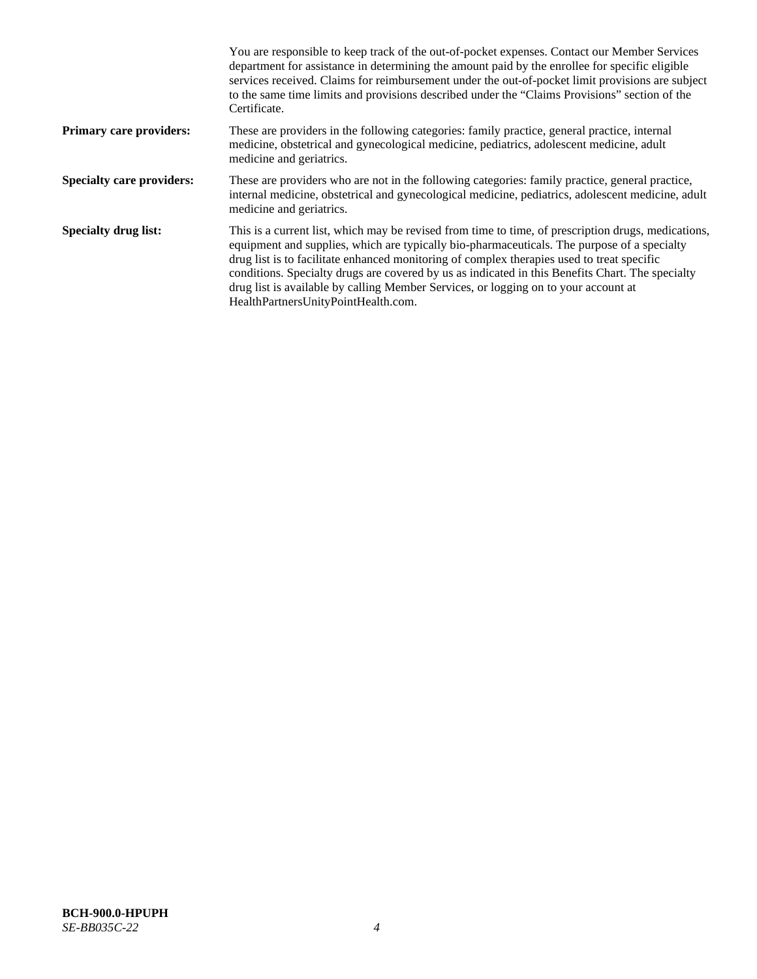|                                  | You are responsible to keep track of the out-of-pocket expenses. Contact our Member Services<br>department for assistance in determining the amount paid by the enrollee for specific eligible<br>services received. Claims for reimbursement under the out-of-pocket limit provisions are subject<br>to the same time limits and provisions described under the "Claims Provisions" section of the<br>Certificate.                                                                                                                |
|----------------------------------|------------------------------------------------------------------------------------------------------------------------------------------------------------------------------------------------------------------------------------------------------------------------------------------------------------------------------------------------------------------------------------------------------------------------------------------------------------------------------------------------------------------------------------|
| <b>Primary care providers:</b>   | These are providers in the following categories: family practice, general practice, internal<br>medicine, obstetrical and gynecological medicine, pediatrics, adolescent medicine, adult<br>medicine and geriatrics.                                                                                                                                                                                                                                                                                                               |
| <b>Specialty care providers:</b> | These are providers who are not in the following categories: family practice, general practice,<br>internal medicine, obstetrical and gynecological medicine, pediatrics, adolescent medicine, adult<br>medicine and geriatrics.                                                                                                                                                                                                                                                                                                   |
| <b>Specialty drug list:</b>      | This is a current list, which may be revised from time to time, of prescription drugs, medications,<br>equipment and supplies, which are typically bio-pharmaceuticals. The purpose of a specialty<br>drug list is to facilitate enhanced monitoring of complex therapies used to treat specific<br>conditions. Specialty drugs are covered by us as indicated in this Benefits Chart. The specialty<br>drug list is available by calling Member Services, or logging on to your account at<br>HealthPartnersUnityPointHealth.com. |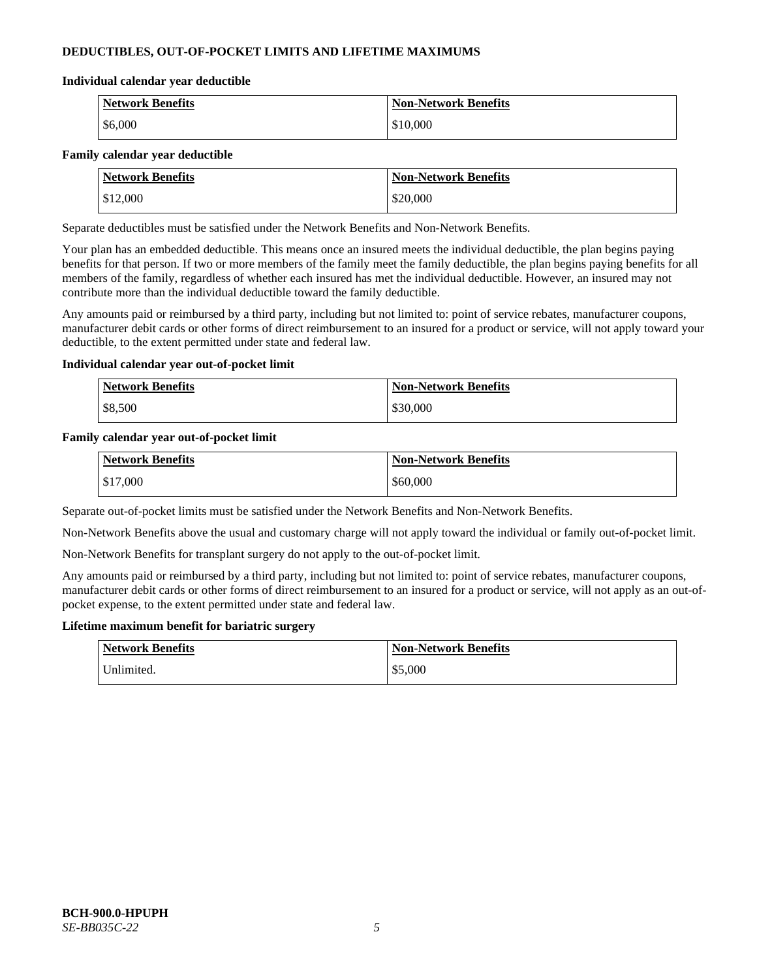# **DEDUCTIBLES, OUT-OF-POCKET LIMITS AND LIFETIME MAXIMUMS**

#### **Individual calendar year deductible**

| <b>Network Benefits</b> | <b>Non-Network Benefits</b> |
|-------------------------|-----------------------------|
| \$6,000                 | \$10,000                    |

### **Family calendar year deductible**

| <b>Network Benefits</b> | <b>Non-Network Benefits</b> |
|-------------------------|-----------------------------|
| \$12,000                | \$20,000                    |

Separate deductibles must be satisfied under the Network Benefits and Non-Network Benefits.

Your plan has an embedded deductible. This means once an insured meets the individual deductible, the plan begins paying benefits for that person. If two or more members of the family meet the family deductible, the plan begins paying benefits for all members of the family, regardless of whether each insured has met the individual deductible. However, an insured may not contribute more than the individual deductible toward the family deductible.

Any amounts paid or reimbursed by a third party, including but not limited to: point of service rebates, manufacturer coupons, manufacturer debit cards or other forms of direct reimbursement to an insured for a product or service, will not apply toward your deductible, to the extent permitted under state and federal law.

### **Individual calendar year out-of-pocket limit**

| <b>Network Benefits</b> | <b>Non-Network Benefits</b> |
|-------------------------|-----------------------------|
| \$8,500                 | \$30,000                    |

### **Family calendar year out-of-pocket limit**

| <b>Network Benefits</b> | <b>Non-Network Benefits</b> |
|-------------------------|-----------------------------|
| \$17,000                | \$60,000                    |

Separate out-of-pocket limits must be satisfied under the Network Benefits and Non-Network Benefits.

Non-Network Benefits above the usual and customary charge will not apply toward the individual or family out-of-pocket limit.

Non-Network Benefits for transplant surgery do not apply to the out-of-pocket limit.

Any amounts paid or reimbursed by a third party, including but not limited to: point of service rebates, manufacturer coupons, manufacturer debit cards or other forms of direct reimbursement to an insured for a product or service, will not apply as an out-ofpocket expense, to the extent permitted under state and federal law.

#### **Lifetime maximum benefit for bariatric surgery**

| <b>Network Benefits</b> | <b>Non-Network Benefits</b> |
|-------------------------|-----------------------------|
| Jnlimited.              | \$5,000                     |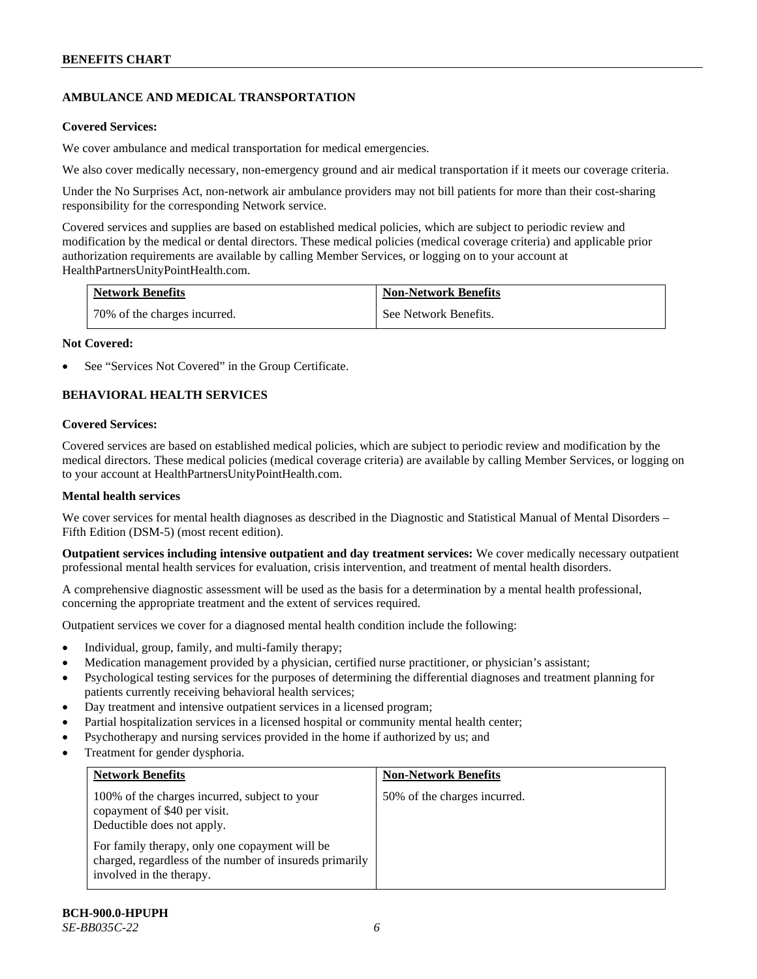# **AMBULANCE AND MEDICAL TRANSPORTATION**

### **Covered Services:**

We cover ambulance and medical transportation for medical emergencies.

We also cover medically necessary, non-emergency ground and air medical transportation if it meets our coverage criteria.

Under the No Surprises Act, non-network air ambulance providers may not bill patients for more than their cost-sharing responsibility for the corresponding Network service.

Covered services and supplies are based on established medical policies, which are subject to periodic review and modification by the medical or dental directors. These medical policies (medical coverage criteria) and applicable prior authorization requirements are available by calling Member Services, or logging on to your account at [HealthPartnersUnityPointHealth.com.](https://www.healthpartnersunitypointhealth.com/)

| <b>Network Benefits</b>      | <b>Non-Network Benefits</b> |
|------------------------------|-----------------------------|
| 70% of the charges incurred. | See Network Benefits.       |

### **Not Covered:**

See "Services Not Covered" in the Group Certificate.

# **BEHAVIORAL HEALTH SERVICES**

### **Covered Services:**

Covered services are based on established medical policies, which are subject to periodic review and modification by the medical directors. These medical policies (medical coverage criteria) are available by calling Member Services, or logging on to your account at [HealthPartnersUnityPointHealth.com.](https://www.healthpartnersunitypointhealth.com/)

### **Mental health services**

We cover services for mental health diagnoses as described in the Diagnostic and Statistical Manual of Mental Disorders – Fifth Edition (DSM-5) (most recent edition).

**Outpatient services including intensive outpatient and day treatment services:** We cover medically necessary outpatient professional mental health services for evaluation, crisis intervention, and treatment of mental health disorders.

A comprehensive diagnostic assessment will be used as the basis for a determination by a mental health professional, concerning the appropriate treatment and the extent of services required.

Outpatient services we cover for a diagnosed mental health condition include the following:

- Individual, group, family, and multi-family therapy;
- Medication management provided by a physician, certified nurse practitioner, or physician's assistant;
- Psychological testing services for the purposes of determining the differential diagnoses and treatment planning for patients currently receiving behavioral health services;
- Day treatment and intensive outpatient services in a licensed program;
- Partial hospitalization services in a licensed hospital or community mental health center;
- Psychotherapy and nursing services provided in the home if authorized by us; and
- Treatment for gender dysphoria.

| <b>Network Benefits</b>                                                                                                               | <b>Non-Network Benefits</b>  |
|---------------------------------------------------------------------------------------------------------------------------------------|------------------------------|
| 100% of the charges incurred, subject to your<br>copayment of \$40 per visit.<br>Deductible does not apply.                           | 50% of the charges incurred. |
| For family therapy, only one copayment will be<br>charged, regardless of the number of insureds primarily<br>involved in the therapy. |                              |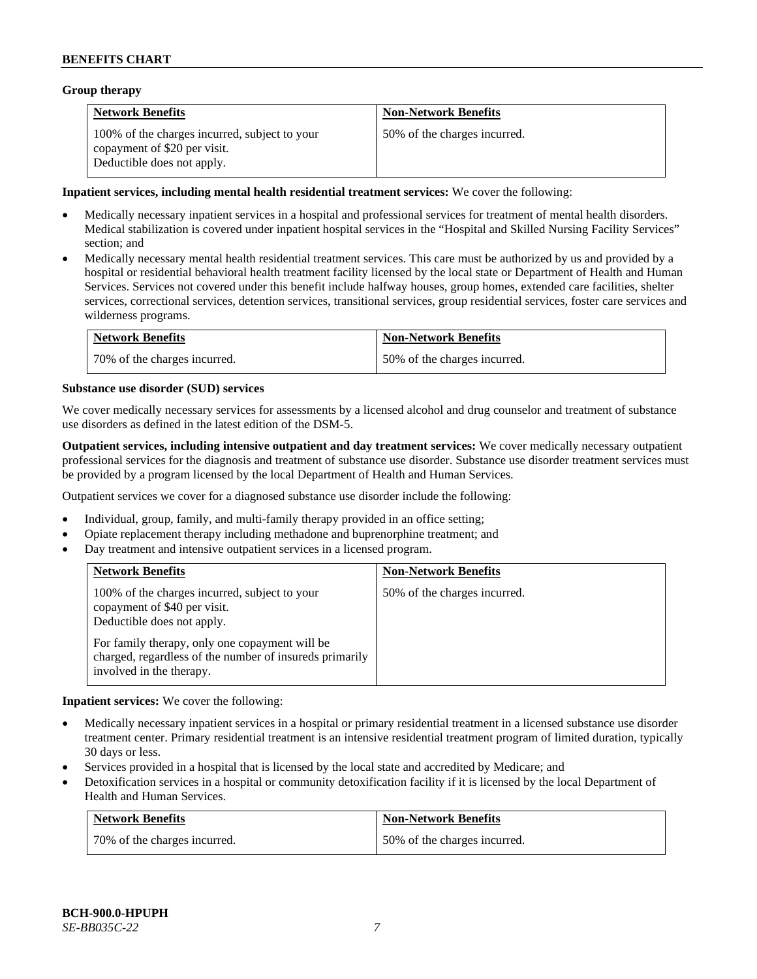### **Group therapy**

| <b>Network Benefits</b>                                                                                     | <b>Non-Network Benefits</b>  |
|-------------------------------------------------------------------------------------------------------------|------------------------------|
| 100% of the charges incurred, subject to your<br>copayment of \$20 per visit.<br>Deductible does not apply. | 50% of the charges incurred. |

### **Inpatient services, including mental health residential treatment services:** We cover the following:

- Medically necessary inpatient services in a hospital and professional services for treatment of mental health disorders. Medical stabilization is covered under inpatient hospital services in the "Hospital and Skilled Nursing Facility Services" section; and
- Medically necessary mental health residential treatment services. This care must be authorized by us and provided by a hospital or residential behavioral health treatment facility licensed by the local state or Department of Health and Human Services. Services not covered under this benefit include halfway houses, group homes, extended care facilities, shelter services, correctional services, detention services, transitional services, group residential services, foster care services and wilderness programs.

| <b>Network Benefits</b>      | <b>Non-Network Benefits</b>  |
|------------------------------|------------------------------|
| 70% of the charges incurred. | 50% of the charges incurred. |

### **Substance use disorder (SUD) services**

We cover medically necessary services for assessments by a licensed alcohol and drug counselor and treatment of substance use disorders as defined in the latest edition of the DSM-5.

**Outpatient services, including intensive outpatient and day treatment services:** We cover medically necessary outpatient professional services for the diagnosis and treatment of substance use disorder. Substance use disorder treatment services must be provided by a program licensed by the local Department of Health and Human Services.

Outpatient services we cover for a diagnosed substance use disorder include the following:

- Individual, group, family, and multi-family therapy provided in an office setting;
- Opiate replacement therapy including methadone and buprenorphine treatment; and
- Day treatment and intensive outpatient services in a licensed program.

| <b>Network Benefits</b>                                                                                                                                                                                                                              | <b>Non-Network Benefits</b>  |
|------------------------------------------------------------------------------------------------------------------------------------------------------------------------------------------------------------------------------------------------------|------------------------------|
| 100% of the charges incurred, subject to your<br>copayment of \$40 per visit.<br>Deductible does not apply.<br>For family therapy, only one copayment will be<br>charged, regardless of the number of insureds primarily<br>involved in the therapy. | 50% of the charges incurred. |

**Inpatient services:** We cover the following:

- Medically necessary inpatient services in a hospital or primary residential treatment in a licensed substance use disorder treatment center. Primary residential treatment is an intensive residential treatment program of limited duration, typically 30 days or less.
- Services provided in a hospital that is licensed by the local state and accredited by Medicare; and
- Detoxification services in a hospital or community detoxification facility if it is licensed by the local Department of Health and Human Services.

| <b>Network Benefits</b>      | <b>Non-Network Benefits</b>  |
|------------------------------|------------------------------|
| 70% of the charges incurred. | 50% of the charges incurred. |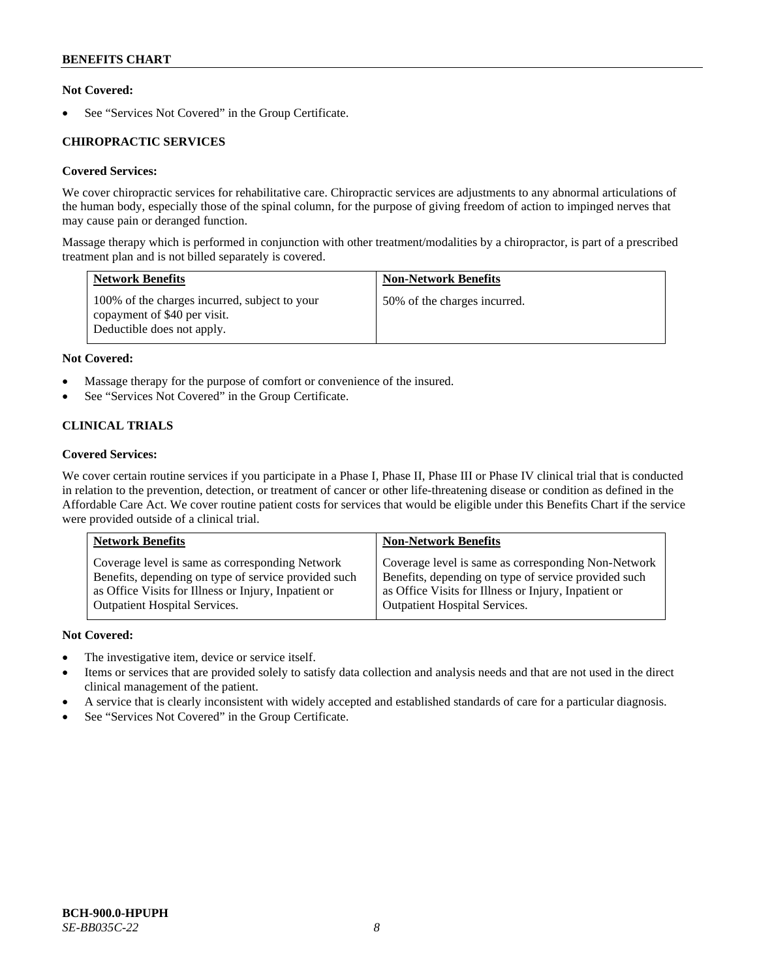# **Not Covered:**

See "Services Not Covered" in the Group Certificate.

# **CHIROPRACTIC SERVICES**

# **Covered Services:**

We cover chiropractic services for rehabilitative care. Chiropractic services are adjustments to any abnormal articulations of the human body, especially those of the spinal column, for the purpose of giving freedom of action to impinged nerves that may cause pain or deranged function.

Massage therapy which is performed in conjunction with other treatment/modalities by a chiropractor, is part of a prescribed treatment plan and is not billed separately is covered.

| <b>Network Benefits</b>                                                                                     | <b>Non-Network Benefits</b>  |
|-------------------------------------------------------------------------------------------------------------|------------------------------|
| 100% of the charges incurred, subject to your<br>copayment of \$40 per visit.<br>Deductible does not apply. | 50% of the charges incurred. |

# **Not Covered:**

- Massage therapy for the purpose of comfort or convenience of the insured.
- See "Services Not Covered" in the Group Certificate.

# **CLINICAL TRIALS**

# **Covered Services:**

We cover certain routine services if you participate in a Phase I, Phase II, Phase III or Phase IV clinical trial that is conducted in relation to the prevention, detection, or treatment of cancer or other life-threatening disease or condition as defined in the Affordable Care Act. We cover routine patient costs for services that would be eligible under this Benefits Chart if the service were provided outside of a clinical trial.

| <b>Network Benefits</b>                              | <b>Non-Network Benefits</b>                          |
|------------------------------------------------------|------------------------------------------------------|
| Coverage level is same as corresponding Network      | Coverage level is same as corresponding Non-Network  |
| Benefits, depending on type of service provided such | Benefits, depending on type of service provided such |
| as Office Visits for Illness or Injury, Inpatient or | as Office Visits for Illness or Injury, Inpatient or |
| <b>Outpatient Hospital Services.</b>                 | <b>Outpatient Hospital Services.</b>                 |

# **Not Covered:**

- The investigative item, device or service itself.
- Items or services that are provided solely to satisfy data collection and analysis needs and that are not used in the direct clinical management of the patient.
- A service that is clearly inconsistent with widely accepted and established standards of care for a particular diagnosis.
- See "Services Not Covered" in the Group Certificate.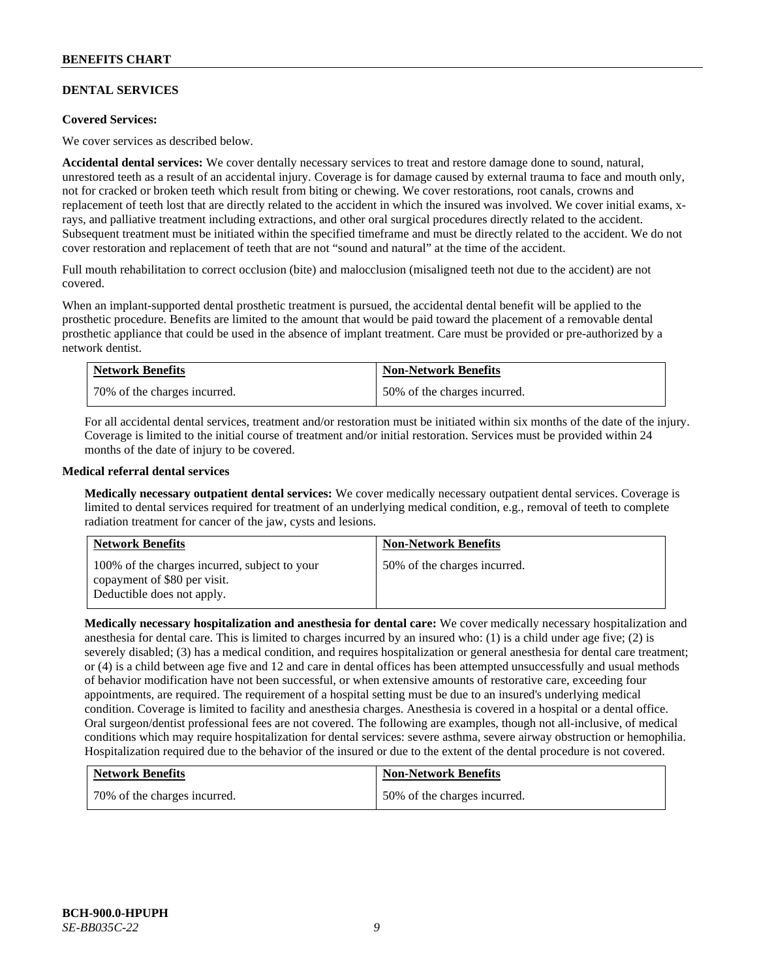# **DENTAL SERVICES**

### **Covered Services:**

We cover services as described below.

**Accidental dental services:** We cover dentally necessary services to treat and restore damage done to sound, natural, unrestored teeth as a result of an accidental injury. Coverage is for damage caused by external trauma to face and mouth only, not for cracked or broken teeth which result from biting or chewing. We cover restorations, root canals, crowns and replacement of teeth lost that are directly related to the accident in which the insured was involved. We cover initial exams, xrays, and palliative treatment including extractions, and other oral surgical procedures directly related to the accident. Subsequent treatment must be initiated within the specified timeframe and must be directly related to the accident. We do not cover restoration and replacement of teeth that are not "sound and natural" at the time of the accident.

Full mouth rehabilitation to correct occlusion (bite) and malocclusion (misaligned teeth not due to the accident) are not covered.

When an implant-supported dental prosthetic treatment is pursued, the accidental dental benefit will be applied to the prosthetic procedure. Benefits are limited to the amount that would be paid toward the placement of a removable dental prosthetic appliance that could be used in the absence of implant treatment. Care must be provided or pre-authorized by a network dentist.

| <b>Network Benefits</b>      | <b>Non-Network Benefits</b>  |
|------------------------------|------------------------------|
| 70% of the charges incurred. | 50% of the charges incurred. |

For all accidental dental services, treatment and/or restoration must be initiated within six months of the date of the injury. Coverage is limited to the initial course of treatment and/or initial restoration. Services must be provided within 24 months of the date of injury to be covered.

### **Medical referral dental services**

**Medically necessary outpatient dental services:** We cover medically necessary outpatient dental services. Coverage is limited to dental services required for treatment of an underlying medical condition, e.g., removal of teeth to complete radiation treatment for cancer of the jaw, cysts and lesions.

| <b>Network Benefits</b>                                                                                     | <b>Non-Network Benefits</b>  |
|-------------------------------------------------------------------------------------------------------------|------------------------------|
| 100% of the charges incurred, subject to your<br>copayment of \$80 per visit.<br>Deductible does not apply. | 50% of the charges incurred. |

**Medically necessary hospitalization and anesthesia for dental care:** We cover medically necessary hospitalization and anesthesia for dental care. This is limited to charges incurred by an insured who: (1) is a child under age five; (2) is severely disabled; (3) has a medical condition, and requires hospitalization or general anesthesia for dental care treatment; or (4) is a child between age five and 12 and care in dental offices has been attempted unsuccessfully and usual methods of behavior modification have not been successful, or when extensive amounts of restorative care, exceeding four appointments, are required. The requirement of a hospital setting must be due to an insured's underlying medical condition. Coverage is limited to facility and anesthesia charges. Anesthesia is covered in a hospital or a dental office. Oral surgeon/dentist professional fees are not covered. The following are examples, though not all-inclusive, of medical conditions which may require hospitalization for dental services: severe asthma, severe airway obstruction or hemophilia. Hospitalization required due to the behavior of the insured or due to the extent of the dental procedure is not covered.

| <b>Network Benefits</b>      | <b>Non-Network Benefits</b>  |
|------------------------------|------------------------------|
| 70% of the charges incurred. | 50% of the charges incurred. |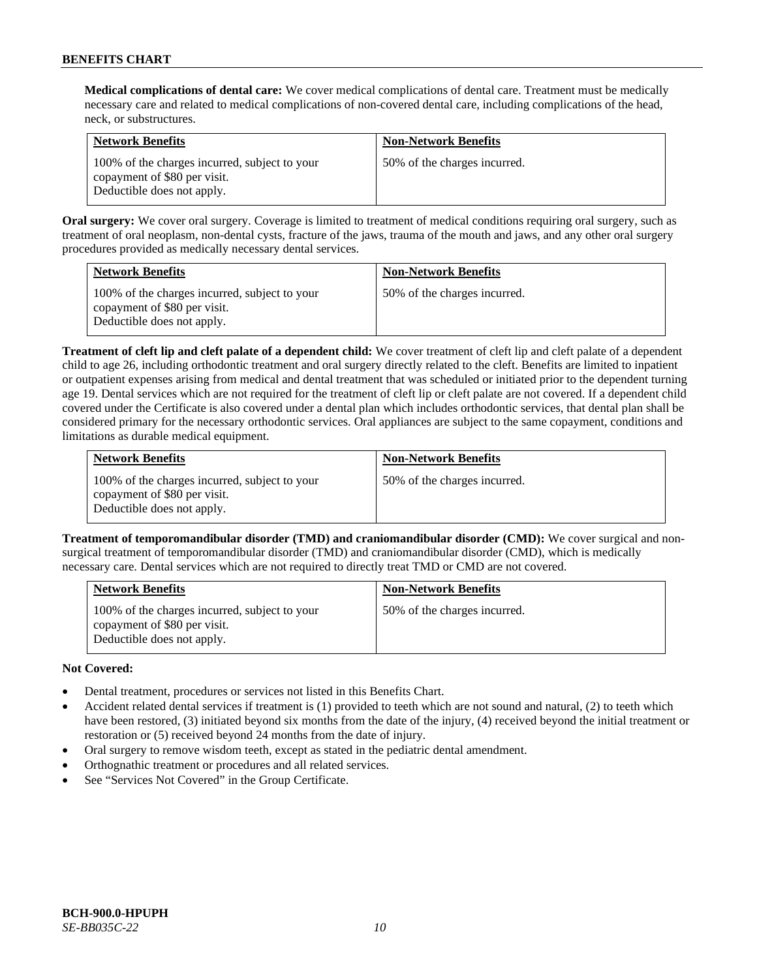**Medical complications of dental care:** We cover medical complications of dental care. Treatment must be medically necessary care and related to medical complications of non-covered dental care, including complications of the head, neck, or substructures.

| <b>Network Benefits</b>                                                                                     | <b>Non-Network Benefits</b>  |
|-------------------------------------------------------------------------------------------------------------|------------------------------|
| 100% of the charges incurred, subject to your<br>copayment of \$80 per visit.<br>Deductible does not apply. | 50% of the charges incurred. |

**Oral surgery:** We cover oral surgery. Coverage is limited to treatment of medical conditions requiring oral surgery, such as treatment of oral neoplasm, non-dental cysts, fracture of the jaws, trauma of the mouth and jaws, and any other oral surgery procedures provided as medically necessary dental services.

| <b>Network Benefits</b>                                                                                     | <b>Non-Network Benefits</b>  |
|-------------------------------------------------------------------------------------------------------------|------------------------------|
| 100% of the charges incurred, subject to your<br>copayment of \$80 per visit.<br>Deductible does not apply. | 50% of the charges incurred. |

**Treatment of cleft lip and cleft palate of a dependent child:** We cover treatment of cleft lip and cleft palate of a dependent child to age 26, including orthodontic treatment and oral surgery directly related to the cleft. Benefits are limited to inpatient or outpatient expenses arising from medical and dental treatment that was scheduled or initiated prior to the dependent turning age 19. Dental services which are not required for the treatment of cleft lip or cleft palate are not covered. If a dependent child covered under the Certificate is also covered under a dental plan which includes orthodontic services, that dental plan shall be considered primary for the necessary orthodontic services. Oral appliances are subject to the same copayment, conditions and limitations as durable medical equipment.

| <b>Network Benefits</b>                                                                                     | <b>Non-Network Benefits</b>  |
|-------------------------------------------------------------------------------------------------------------|------------------------------|
| 100% of the charges incurred, subject to your<br>copayment of \$80 per visit.<br>Deductible does not apply. | 50% of the charges incurred. |

**Treatment of temporomandibular disorder (TMD) and craniomandibular disorder (CMD):** We cover surgical and nonsurgical treatment of temporomandibular disorder (TMD) and craniomandibular disorder (CMD), which is medically necessary care. Dental services which are not required to directly treat TMD or CMD are not covered.

| <b>Network Benefits</b>                                                                                     | <b>Non-Network Benefits</b>  |
|-------------------------------------------------------------------------------------------------------------|------------------------------|
| 100% of the charges incurred, subject to your<br>copayment of \$80 per visit.<br>Deductible does not apply. | 50% of the charges incurred. |

# **Not Covered:**

- Dental treatment, procedures or services not listed in this Benefits Chart.
- Accident related dental services if treatment is (1) provided to teeth which are not sound and natural, (2) to teeth which have been restored, (3) initiated beyond six months from the date of the injury, (4) received beyond the initial treatment or restoration or (5) received beyond 24 months from the date of injury.
- Oral surgery to remove wisdom teeth, except as stated in the pediatric dental amendment.
- Orthognathic treatment or procedures and all related services.
- See "Services Not Covered" in the Group Certificate.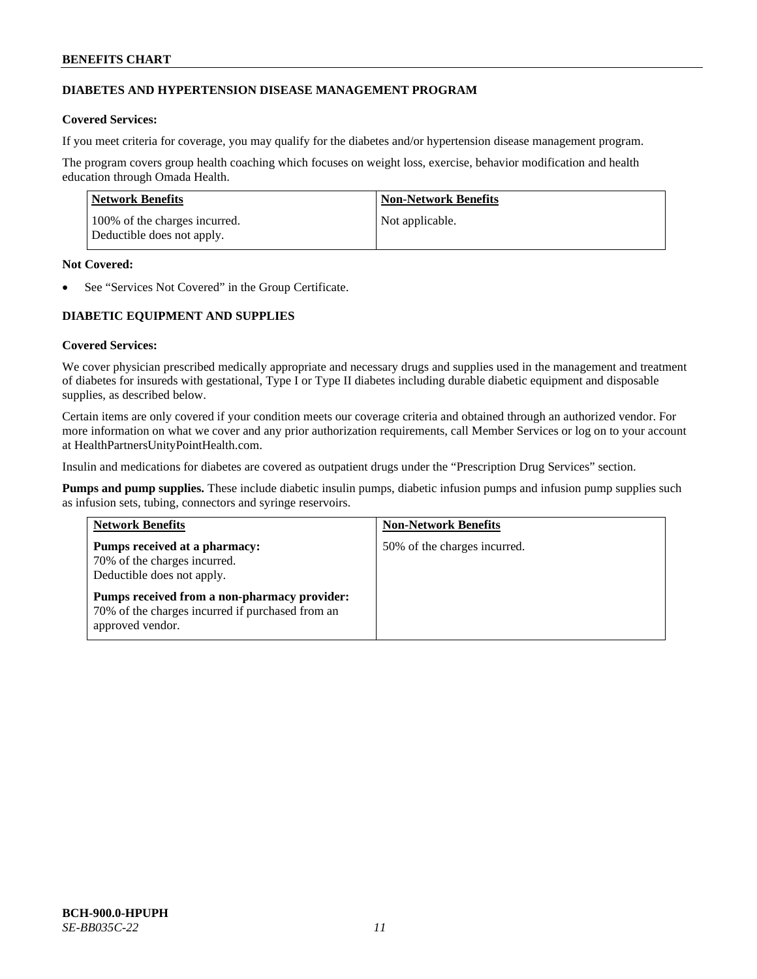# **DIABETES AND HYPERTENSION DISEASE MANAGEMENT PROGRAM**

# **Covered Services:**

If you meet criteria for coverage, you may qualify for the diabetes and/or hypertension disease management program.

The program covers group health coaching which focuses on weight loss, exercise, behavior modification and health education through Omada Health.

| Network Benefits                                            | Non-Network Benefits |
|-------------------------------------------------------------|----------------------|
| 100% of the charges incurred.<br>Deductible does not apply. | Not applicable.      |

### **Not Covered:**

See "Services Not Covered" in the Group Certificate.

# **DIABETIC EQUIPMENT AND SUPPLIES**

# **Covered Services:**

We cover physician prescribed medically appropriate and necessary drugs and supplies used in the management and treatment of diabetes for insureds with gestational, Type I or Type II diabetes including durable diabetic equipment and disposable supplies, as described below.

Certain items are only covered if your condition meets our coverage criteria and obtained through an authorized vendor. For more information on what we cover and any prior authorization requirements, call Member Services or log on to your account at [HealthPartnersUnityPointHealth.com.](https://www.healthpartnersunitypointhealth.com/)

Insulin and medications for diabetes are covered as outpatient drugs under the "Prescription Drug Services" section.

**Pumps and pump supplies.** These include diabetic insulin pumps, diabetic infusion pumps and infusion pump supplies such as infusion sets, tubing, connectors and syringe reservoirs.

| <b>Network Benefits</b>                                                                                              | <b>Non-Network Benefits</b>  |
|----------------------------------------------------------------------------------------------------------------------|------------------------------|
| Pumps received at a pharmacy:<br>70% of the charges incurred.<br>Deductible does not apply.                          | 50% of the charges incurred. |
| Pumps received from a non-pharmacy provider:<br>70% of the charges incurred if purchased from an<br>approved vendor. |                              |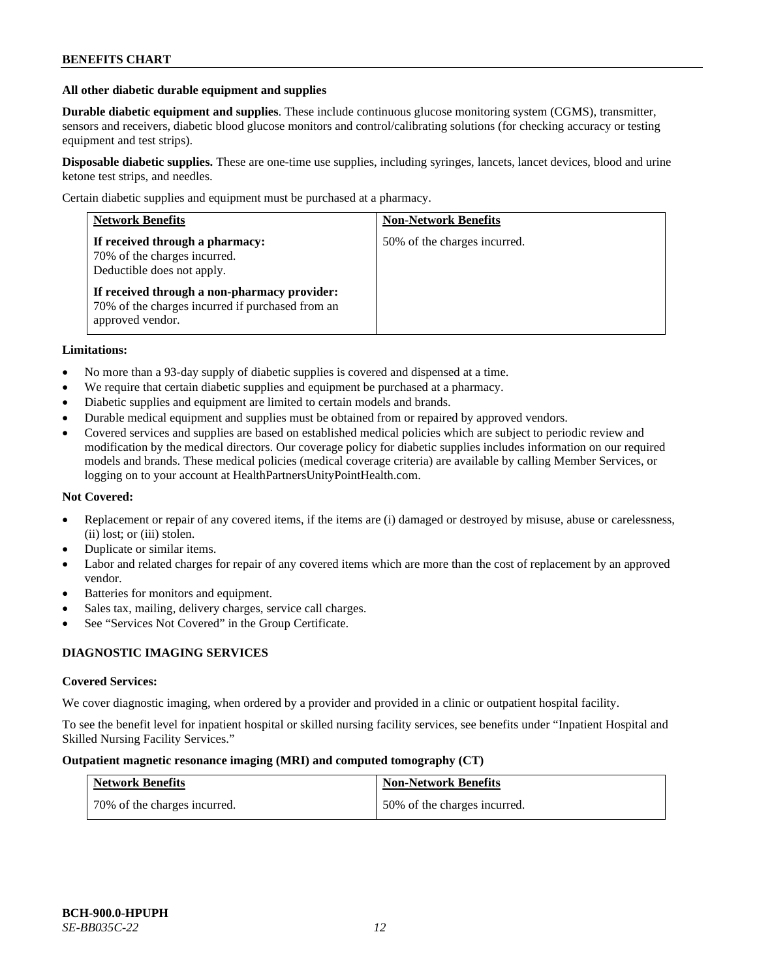### **All other diabetic durable equipment and supplies**

**Durable diabetic equipment and supplies**. These include continuous glucose monitoring system (CGMS), transmitter, sensors and receivers, diabetic blood glucose monitors and control/calibrating solutions (for checking accuracy or testing equipment and test strips).

**Disposable diabetic supplies.** These are one-time use supplies, including syringes, lancets, lancet devices, blood and urine ketone test strips, and needles.

Certain diabetic supplies and equipment must be purchased at a pharmacy.

| <b>Network Benefits</b>                                                                                              | <b>Non-Network Benefits</b>  |
|----------------------------------------------------------------------------------------------------------------------|------------------------------|
| If received through a pharmacy:<br>70% of the charges incurred.<br>Deductible does not apply.                        | 50% of the charges incurred. |
| If received through a non-pharmacy provider:<br>70% of the charges incurred if purchased from an<br>approved vendor. |                              |

### **Limitations:**

- No more than a 93-day supply of diabetic supplies is covered and dispensed at a time.
- We require that certain diabetic supplies and equipment be purchased at a pharmacy.
- Diabetic supplies and equipment are limited to certain models and brands.
- Durable medical equipment and supplies must be obtained from or repaired by approved vendors.
- Covered services and supplies are based on established medical policies which are subject to periodic review and modification by the medical directors. Our coverage policy for diabetic supplies includes information on our required models and brands. These medical policies (medical coverage criteria) are available by calling Member Services, or logging on to your account a[t HealthPartnersUnityPointHealth.com.](https://www.healthpartnersunitypointhealth.com/)

# **Not Covered:**

- Replacement or repair of any covered items, if the items are (i) damaged or destroyed by misuse, abuse or carelessness, (ii) lost; or (iii) stolen.
- Duplicate or similar items.
- Labor and related charges for repair of any covered items which are more than the cost of replacement by an approved vendor.
- Batteries for monitors and equipment.
- Sales tax, mailing, delivery charges, service call charges.
- See "Services Not Covered" in the Group Certificate.

# **DIAGNOSTIC IMAGING SERVICES**

#### **Covered Services:**

We cover diagnostic imaging, when ordered by a provider and provided in a clinic or outpatient hospital facility.

To see the benefit level for inpatient hospital or skilled nursing facility services, see benefits under "Inpatient Hospital and Skilled Nursing Facility Services."

### **Outpatient magnetic resonance imaging (MRI) and computed tomography (CT)**

| <b>Network Benefits</b>      | <b>Non-Network Benefits</b>  |
|------------------------------|------------------------------|
| 70% of the charges incurred. | 50% of the charges incurred. |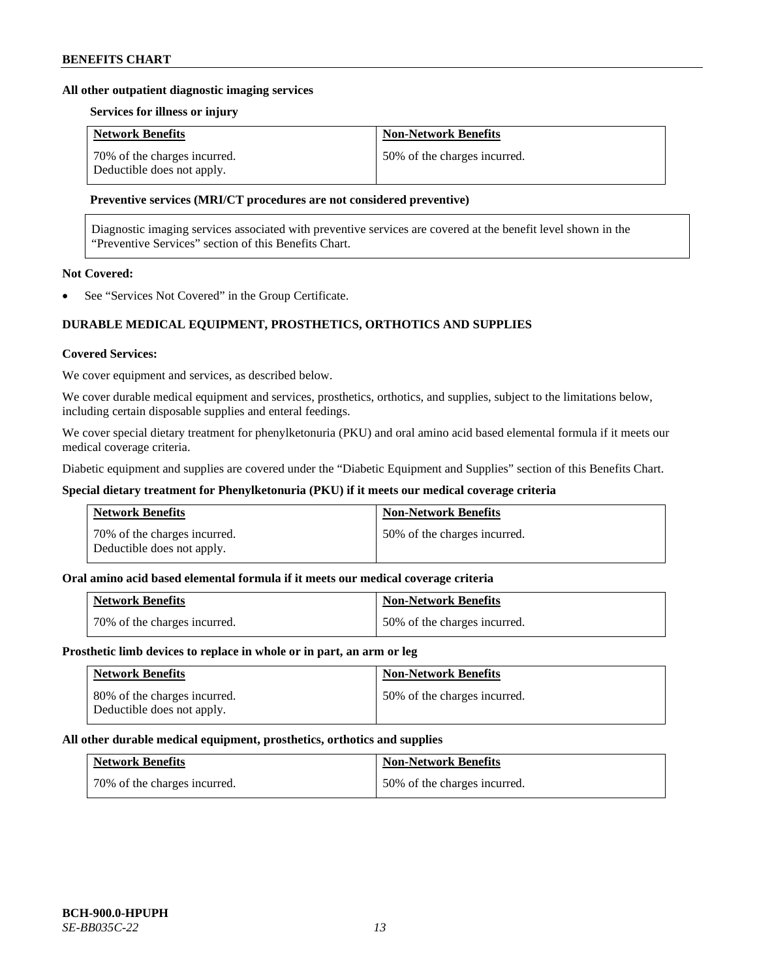### **All other outpatient diagnostic imaging services**

### **Services for illness or injury**

| <b>Network Benefits</b>                                    | <b>Non-Network Benefits</b>  |
|------------------------------------------------------------|------------------------------|
| 70% of the charges incurred.<br>Deductible does not apply. | 50% of the charges incurred. |

### **Preventive services (MRI/CT procedures are not considered preventive)**

Diagnostic imaging services associated with preventive services are covered at the benefit level shown in the "Preventive Services" section of this Benefits Chart.

# **Not Covered:**

See "Services Not Covered" in the Group Certificate.

# **DURABLE MEDICAL EQUIPMENT, PROSTHETICS, ORTHOTICS AND SUPPLIES**

#### **Covered Services:**

We cover equipment and services, as described below.

We cover durable medical equipment and services, prosthetics, orthotics, and supplies, subject to the limitations below, including certain disposable supplies and enteral feedings.

We cover special dietary treatment for phenylketonuria (PKU) and oral amino acid based elemental formula if it meets our medical coverage criteria.

Diabetic equipment and supplies are covered under the "Diabetic Equipment and Supplies" section of this Benefits Chart.

### **Special dietary treatment for Phenylketonuria (PKU) if it meets our medical coverage criteria**

| <b>Network Benefits</b>                                    | <b>Non-Network Benefits</b>  |
|------------------------------------------------------------|------------------------------|
| 70% of the charges incurred.<br>Deductible does not apply. | 50% of the charges incurred. |

### **Oral amino acid based elemental formula if it meets our medical coverage criteria**

| <b>Network Benefits</b>      | <b>Non-Network Benefits</b>  |
|------------------------------|------------------------------|
| 70% of the charges incurred. | 50% of the charges incurred. |

#### **Prosthetic limb devices to replace in whole or in part, an arm or leg**

| <b>Network Benefits</b>                                    | <b>Non-Network Benefits</b>  |
|------------------------------------------------------------|------------------------------|
| 80% of the charges incurred.<br>Deductible does not apply. | 50% of the charges incurred. |

#### **All other durable medical equipment, prosthetics, orthotics and supplies**

| <b>Network Benefits</b>      | <b>Non-Network Benefits</b>  |
|------------------------------|------------------------------|
| 70% of the charges incurred. | 50% of the charges incurred. |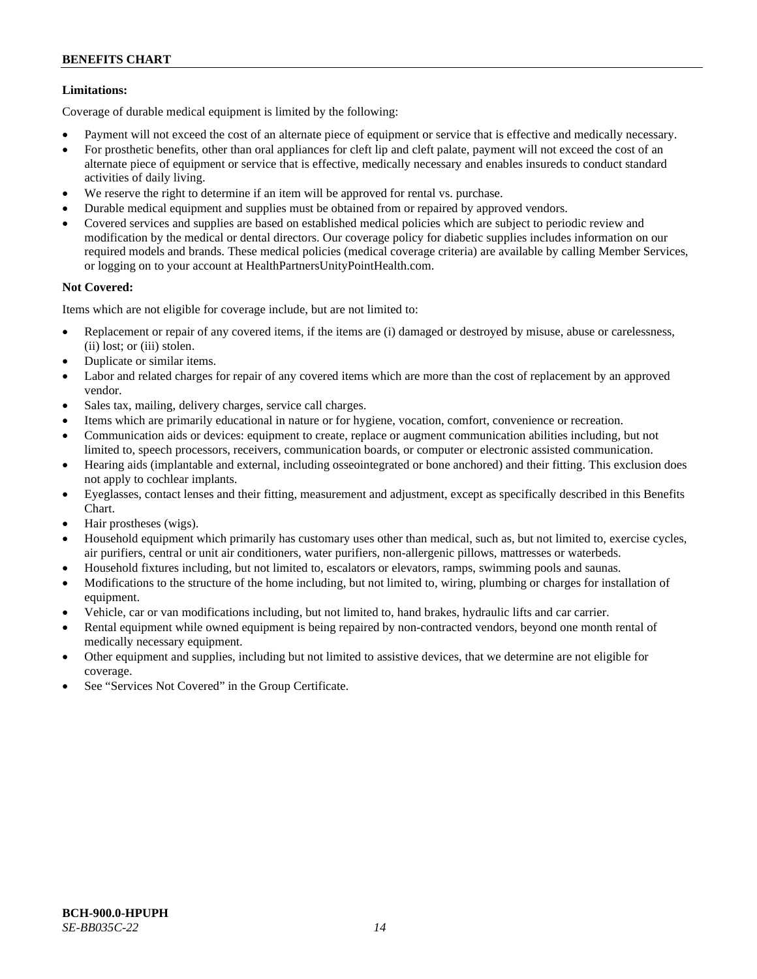# **Limitations:**

Coverage of durable medical equipment is limited by the following:

- Payment will not exceed the cost of an alternate piece of equipment or service that is effective and medically necessary.
- For prosthetic benefits, other than oral appliances for cleft lip and cleft palate, payment will not exceed the cost of an alternate piece of equipment or service that is effective, medically necessary and enables insureds to conduct standard activities of daily living.
- We reserve the right to determine if an item will be approved for rental vs. purchase.
- Durable medical equipment and supplies must be obtained from or repaired by approved vendors.
- Covered services and supplies are based on established medical policies which are subject to periodic review and modification by the medical or dental directors. Our coverage policy for diabetic supplies includes information on our required models and brands. These medical policies (medical coverage criteria) are available by calling Member Services, or logging on to your account at [HealthPartnersUnityPointHealth.com.](https://www.healthpartnersunitypointhealth.com/)

# **Not Covered:**

Items which are not eligible for coverage include, but are not limited to:

- Replacement or repair of any covered items, if the items are (i) damaged or destroyed by misuse, abuse or carelessness, (ii) lost; or (iii) stolen.
- Duplicate or similar items.
- Labor and related charges for repair of any covered items which are more than the cost of replacement by an approved vendor.
- Sales tax, mailing, delivery charges, service call charges.
- Items which are primarily educational in nature or for hygiene, vocation, comfort, convenience or recreation.
- Communication aids or devices: equipment to create, replace or augment communication abilities including, but not limited to, speech processors, receivers, communication boards, or computer or electronic assisted communication.
- Hearing aids (implantable and external, including osseointegrated or bone anchored) and their fitting. This exclusion does not apply to cochlear implants.
- Eyeglasses, contact lenses and their fitting, measurement and adjustment, except as specifically described in this Benefits Chart.
- Hair prostheses (wigs).
- Household equipment which primarily has customary uses other than medical, such as, but not limited to, exercise cycles, air purifiers, central or unit air conditioners, water purifiers, non-allergenic pillows, mattresses or waterbeds.
- Household fixtures including, but not limited to, escalators or elevators, ramps, swimming pools and saunas.
- Modifications to the structure of the home including, but not limited to, wiring, plumbing or charges for installation of equipment.
- Vehicle, car or van modifications including, but not limited to, hand brakes, hydraulic lifts and car carrier.
- Rental equipment while owned equipment is being repaired by non-contracted vendors, beyond one month rental of medically necessary equipment.
- Other equipment and supplies, including but not limited to assistive devices, that we determine are not eligible for coverage.
- See "Services Not Covered" in the Group Certificate.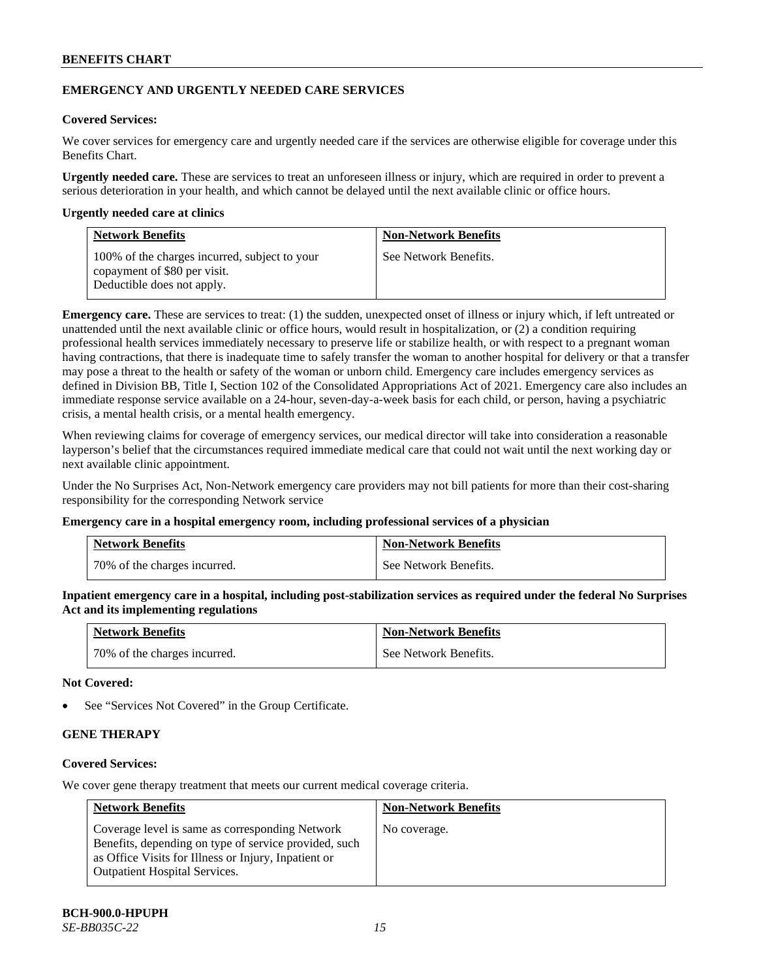# **EMERGENCY AND URGENTLY NEEDED CARE SERVICES**

# **Covered Services:**

We cover services for emergency care and urgently needed care if the services are otherwise eligible for coverage under this Benefits Chart.

**Urgently needed care.** These are services to treat an unforeseen illness or injury, which are required in order to prevent a serious deterioration in your health, and which cannot be delayed until the next available clinic or office hours.

### **Urgently needed care at clinics**

| <b>Network Benefits</b>                                                                                     | <b>Non-Network Benefits</b> |
|-------------------------------------------------------------------------------------------------------------|-----------------------------|
| 100% of the charges incurred, subject to your<br>copayment of \$80 per visit.<br>Deductible does not apply. | See Network Benefits.       |

**Emergency care.** These are services to treat: (1) the sudden, unexpected onset of illness or injury which, if left untreated or unattended until the next available clinic or office hours, would result in hospitalization, or (2) a condition requiring professional health services immediately necessary to preserve life or stabilize health, or with respect to a pregnant woman having contractions, that there is inadequate time to safely transfer the woman to another hospital for delivery or that a transfer may pose a threat to the health or safety of the woman or unborn child. Emergency care includes emergency services as defined in Division BB, Title I, Section 102 of the Consolidated Appropriations Act of 2021. Emergency care also includes an immediate response service available on a 24-hour, seven-day-a-week basis for each child, or person, having a psychiatric crisis, a mental health crisis, or a mental health emergency.

When reviewing claims for coverage of emergency services, our medical director will take into consideration a reasonable layperson's belief that the circumstances required immediate medical care that could not wait until the next working day or next available clinic appointment.

Under the No Surprises Act, Non-Network emergency care providers may not bill patients for more than their cost-sharing responsibility for the corresponding Network service

#### **Emergency care in a hospital emergency room, including professional services of a physician**

| <b>Network Benefits</b>      | <b>Non-Network Benefits</b> |
|------------------------------|-----------------------------|
| 70% of the charges incurred. | See Network Benefits.       |

**Inpatient emergency care in a hospital, including post-stabilization services as required under the federal No Surprises Act and its implementing regulations**

| <b>Network Benefits</b>      | <b>Non-Network Benefits</b> |
|------------------------------|-----------------------------|
| 70% of the charges incurred. | See Network Benefits.       |

### **Not Covered:**

See "Services Not Covered" in the Group Certificate.

# **GENE THERAPY**

# **Covered Services:**

We cover gene therapy treatment that meets our current medical coverage criteria.

| <b>Network Benefits</b>                                                                                                                                                                                  | <b>Non-Network Benefits</b> |
|----------------------------------------------------------------------------------------------------------------------------------------------------------------------------------------------------------|-----------------------------|
| Coverage level is same as corresponding Network<br>Benefits, depending on type of service provided, such<br>as Office Visits for Illness or Injury, Inpatient or<br><b>Outpatient Hospital Services.</b> | No coverage.                |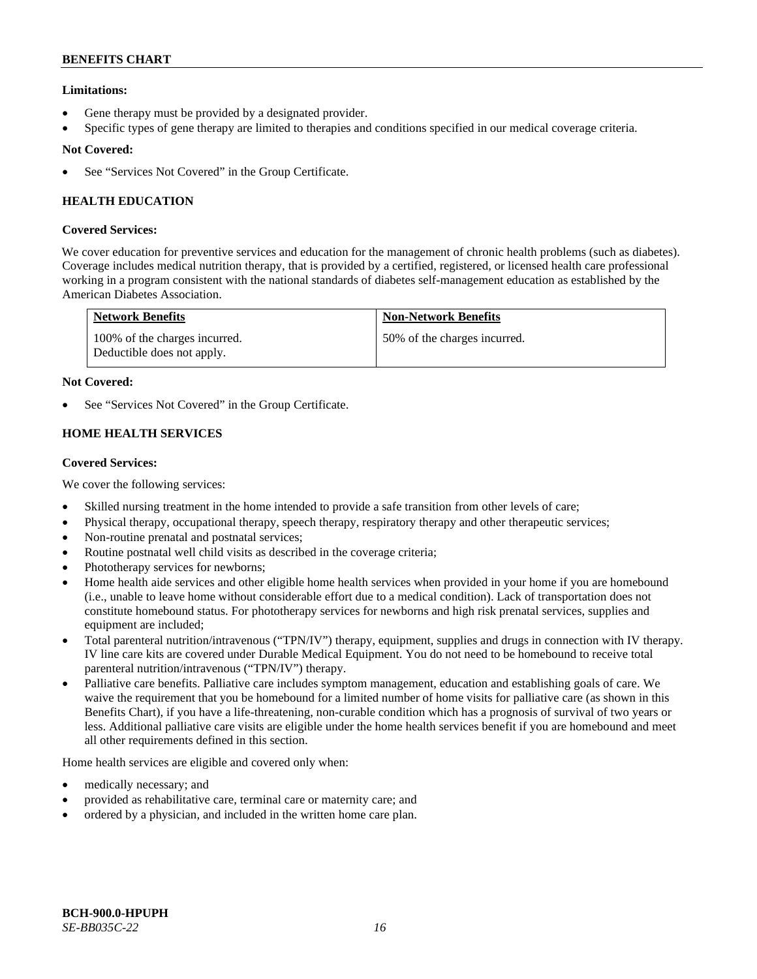# **Limitations:**

- Gene therapy must be provided by a designated provider.
- Specific types of gene therapy are limited to therapies and conditions specified in our medical coverage criteria.

# **Not Covered:**

See "Services Not Covered" in the Group Certificate.

# **HEALTH EDUCATION**

# **Covered Services:**

We cover education for preventive services and education for the management of chronic health problems (such as diabetes). Coverage includes medical nutrition therapy, that is provided by a certified, registered, or licensed health care professional working in a program consistent with the national standards of diabetes self-management education as established by the American Diabetes Association.

| <b>Network Benefits</b>                                     | <b>Non-Network Benefits</b>  |
|-------------------------------------------------------------|------------------------------|
| 100% of the charges incurred.<br>Deductible does not apply. | 50% of the charges incurred. |

# **Not Covered:**

See "Services Not Covered" in the Group Certificate.

# **HOME HEALTH SERVICES**

### **Covered Services:**

We cover the following services:

- Skilled nursing treatment in the home intended to provide a safe transition from other levels of care;
- Physical therapy, occupational therapy, speech therapy, respiratory therapy and other therapeutic services;
- Non-routine prenatal and postnatal services;
- Routine postnatal well child visits as described in the coverage criteria;
- Phototherapy services for newborns;
- Home health aide services and other eligible home health services when provided in your home if you are homebound (i.e., unable to leave home without considerable effort due to a medical condition). Lack of transportation does not constitute homebound status. For phototherapy services for newborns and high risk prenatal services, supplies and equipment are included;
- Total parenteral nutrition/intravenous ("TPN/IV") therapy, equipment, supplies and drugs in connection with IV therapy. IV line care kits are covered under Durable Medical Equipment. You do not need to be homebound to receive total parenteral nutrition/intravenous ("TPN/IV") therapy.
- Palliative care benefits. Palliative care includes symptom management, education and establishing goals of care. We waive the requirement that you be homebound for a limited number of home visits for palliative care (as shown in this Benefits Chart), if you have a life-threatening, non-curable condition which has a prognosis of survival of two years or less. Additional palliative care visits are eligible under the home health services benefit if you are homebound and meet all other requirements defined in this section.

Home health services are eligible and covered only when:

- medically necessary; and
- provided as rehabilitative care, terminal care or maternity care; and
- ordered by a physician, and included in the written home care plan.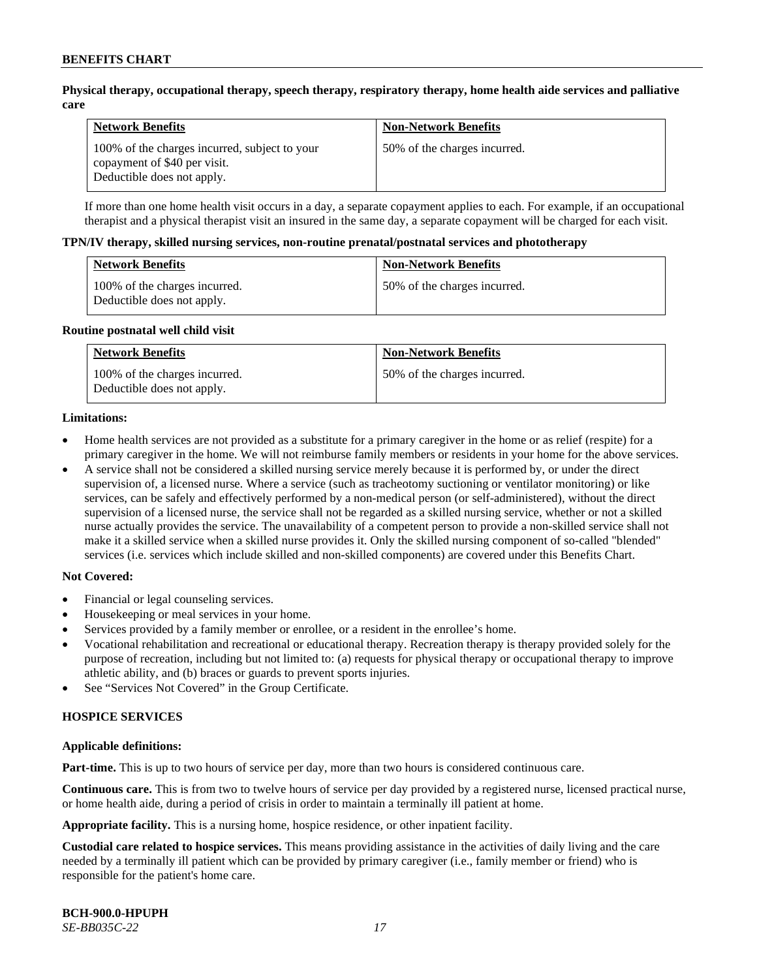### **Physical therapy, occupational therapy, speech therapy, respiratory therapy, home health aide services and palliative care**

| <b>Network Benefits</b>                                                                                     | <b>Non-Network Benefits</b>  |
|-------------------------------------------------------------------------------------------------------------|------------------------------|
| 100% of the charges incurred, subject to your<br>copayment of \$40 per visit.<br>Deductible does not apply. | 50% of the charges incurred. |

If more than one home health visit occurs in a day, a separate copayment applies to each. For example, if an occupational therapist and a physical therapist visit an insured in the same day, a separate copayment will be charged for each visit.

#### **TPN/IV therapy, skilled nursing services, non-routine prenatal/postnatal services and phototherapy**

| <b>Network Benefits</b>                                     | <b>Non-Network Benefits</b>  |
|-------------------------------------------------------------|------------------------------|
| 100% of the charges incurred.<br>Deductible does not apply. | 50% of the charges incurred. |

#### **Routine postnatal well child visit**

| <b>Network Benefits</b>                                     | <b>Non-Network Benefits</b>  |
|-------------------------------------------------------------|------------------------------|
| 100% of the charges incurred.<br>Deductible does not apply. | 50% of the charges incurred. |

#### **Limitations:**

- Home health services are not provided as a substitute for a primary caregiver in the home or as relief (respite) for a primary caregiver in the home. We will not reimburse family members or residents in your home for the above services.
- A service shall not be considered a skilled nursing service merely because it is performed by, or under the direct supervision of, a licensed nurse. Where a service (such as tracheotomy suctioning or ventilator monitoring) or like services, can be safely and effectively performed by a non-medical person (or self-administered), without the direct supervision of a licensed nurse, the service shall not be regarded as a skilled nursing service, whether or not a skilled nurse actually provides the service. The unavailability of a competent person to provide a non-skilled service shall not make it a skilled service when a skilled nurse provides it. Only the skilled nursing component of so-called "blended" services (i.e. services which include skilled and non-skilled components) are covered under this Benefits Chart.

#### **Not Covered:**

- Financial or legal counseling services.
- Housekeeping or meal services in your home.
- Services provided by a family member or enrollee, or a resident in the enrollee's home.
- Vocational rehabilitation and recreational or educational therapy. Recreation therapy is therapy provided solely for the purpose of recreation, including but not limited to: (a) requests for physical therapy or occupational therapy to improve athletic ability, and (b) braces or guards to prevent sports injuries.
- See "Services Not Covered" in the Group Certificate.

# **HOSPICE SERVICES**

#### **Applicable definitions:**

**Part-time.** This is up to two hours of service per day, more than two hours is considered continuous care.

**Continuous care.** This is from two to twelve hours of service per day provided by a registered nurse, licensed practical nurse, or home health aide, during a period of crisis in order to maintain a terminally ill patient at home.

**Appropriate facility.** This is a nursing home, hospice residence, or other inpatient facility.

**Custodial care related to hospice services.** This means providing assistance in the activities of daily living and the care needed by a terminally ill patient which can be provided by primary caregiver (i.e., family member or friend) who is responsible for the patient's home care.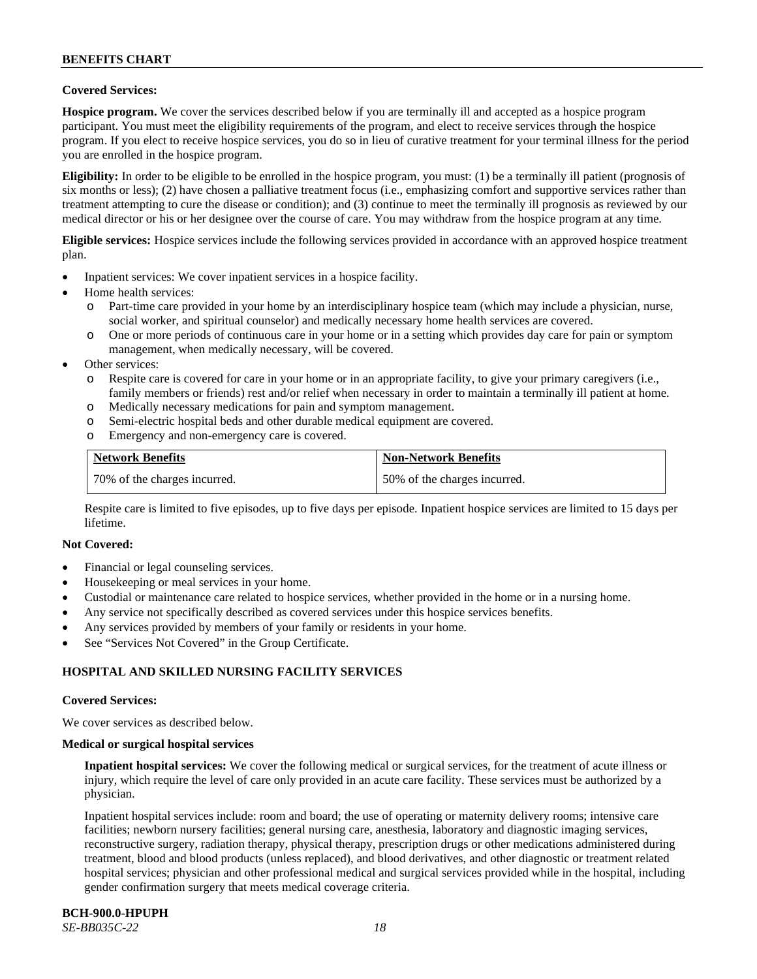# **Covered Services:**

**Hospice program.** We cover the services described below if you are terminally ill and accepted as a hospice program participant. You must meet the eligibility requirements of the program, and elect to receive services through the hospice program. If you elect to receive hospice services, you do so in lieu of curative treatment for your terminal illness for the period you are enrolled in the hospice program.

**Eligibility:** In order to be eligible to be enrolled in the hospice program, you must: (1) be a terminally ill patient (prognosis of six months or less); (2) have chosen a palliative treatment focus (i.e., emphasizing comfort and supportive services rather than treatment attempting to cure the disease or condition); and (3) continue to meet the terminally ill prognosis as reviewed by our medical director or his or her designee over the course of care. You may withdraw from the hospice program at any time.

**Eligible services:** Hospice services include the following services provided in accordance with an approved hospice treatment plan.

- Inpatient services: We cover inpatient services in a hospice facility.
- Home health services:
	- o Part-time care provided in your home by an interdisciplinary hospice team (which may include a physician, nurse, social worker, and spiritual counselor) and medically necessary home health services are covered.
	- One or more periods of continuous care in your home or in a setting which provides day care for pain or symptom management, when medically necessary, will be covered.
- Other services:
	- o Respite care is covered for care in your home or in an appropriate facility, to give your primary caregivers (i.e., family members or friends) rest and/or relief when necessary in order to maintain a terminally ill patient at home.
	- o Medically necessary medications for pain and symptom management.
	- o Semi-electric hospital beds and other durable medical equipment are covered.
	- o Emergency and non-emergency care is covered.

| <b>Network Benefits</b>      | <b>Non-Network Benefits</b>  |
|------------------------------|------------------------------|
| 70% of the charges incurred. | 50% of the charges incurred. |

Respite care is limited to five episodes, up to five days per episode. Inpatient hospice services are limited to 15 days per lifetime.

#### **Not Covered:**

- Financial or legal counseling services.
- Housekeeping or meal services in your home.
- Custodial or maintenance care related to hospice services, whether provided in the home or in a nursing home.
- Any service not specifically described as covered services under this hospice services benefits.
- Any services provided by members of your family or residents in your home.
- See "Services Not Covered" in the Group Certificate.

# **HOSPITAL AND SKILLED NURSING FACILITY SERVICES**

#### **Covered Services:**

We cover services as described below.

#### **Medical or surgical hospital services**

**Inpatient hospital services:** We cover the following medical or surgical services, for the treatment of acute illness or injury, which require the level of care only provided in an acute care facility. These services must be authorized by a physician.

Inpatient hospital services include: room and board; the use of operating or maternity delivery rooms; intensive care facilities; newborn nursery facilities; general nursing care, anesthesia, laboratory and diagnostic imaging services, reconstructive surgery, radiation therapy, physical therapy, prescription drugs or other medications administered during treatment, blood and blood products (unless replaced), and blood derivatives, and other diagnostic or treatment related hospital services; physician and other professional medical and surgical services provided while in the hospital, including gender confirmation surgery that meets medical coverage criteria.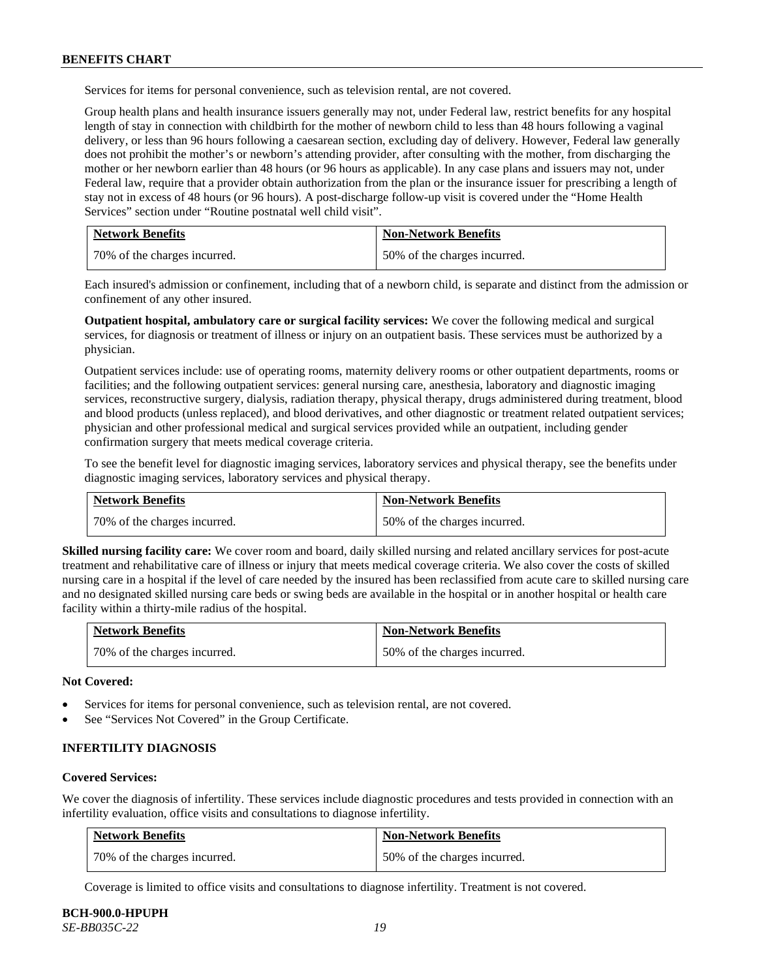Services for items for personal convenience, such as television rental, are not covered.

Group health plans and health insurance issuers generally may not, under Federal law, restrict benefits for any hospital length of stay in connection with childbirth for the mother of newborn child to less than 48 hours following a vaginal delivery, or less than 96 hours following a caesarean section, excluding day of delivery. However, Federal law generally does not prohibit the mother's or newborn's attending provider, after consulting with the mother, from discharging the mother or her newborn earlier than 48 hours (or 96 hours as applicable). In any case plans and issuers may not, under Federal law, require that a provider obtain authorization from the plan or the insurance issuer for prescribing a length of stay not in excess of 48 hours (or 96 hours). A post-discharge follow-up visit is covered under the "Home Health Services" section under "Routine postnatal well child visit".

| <b>Network Benefits</b>      | <b>Non-Network Benefits</b>  |
|------------------------------|------------------------------|
| 70% of the charges incurred. | 50% of the charges incurred. |

Each insured's admission or confinement, including that of a newborn child, is separate and distinct from the admission or confinement of any other insured.

**Outpatient hospital, ambulatory care or surgical facility services:** We cover the following medical and surgical services, for diagnosis or treatment of illness or injury on an outpatient basis. These services must be authorized by a physician.

Outpatient services include: use of operating rooms, maternity delivery rooms or other outpatient departments, rooms or facilities; and the following outpatient services: general nursing care, anesthesia, laboratory and diagnostic imaging services, reconstructive surgery, dialysis, radiation therapy, physical therapy, drugs administered during treatment, blood and blood products (unless replaced), and blood derivatives, and other diagnostic or treatment related outpatient services; physician and other professional medical and surgical services provided while an outpatient, including gender confirmation surgery that meets medical coverage criteria.

To see the benefit level for diagnostic imaging services, laboratory services and physical therapy, see the benefits under diagnostic imaging services, laboratory services and physical therapy.

| <b>Network Benefits</b>      | <b>Non-Network Benefits</b>  |
|------------------------------|------------------------------|
| 70% of the charges incurred. | 50% of the charges incurred. |

**Skilled nursing facility care:** We cover room and board, daily skilled nursing and related ancillary services for post-acute treatment and rehabilitative care of illness or injury that meets medical coverage criteria. We also cover the costs of skilled nursing care in a hospital if the level of care needed by the insured has been reclassified from acute care to skilled nursing care and no designated skilled nursing care beds or swing beds are available in the hospital or in another hospital or health care facility within a thirty-mile radius of the hospital.

| <b>Network Benefits</b>      | <b>Non-Network Benefits</b>  |
|------------------------------|------------------------------|
| 70% of the charges incurred. | 50% of the charges incurred. |

**Not Covered:**

- Services for items for personal convenience, such as television rental, are not covered.
- See "Services Not Covered" in the Group Certificate.

### **INFERTILITY DIAGNOSIS**

#### **Covered Services:**

We cover the diagnosis of infertility. These services include diagnostic procedures and tests provided in connection with an infertility evaluation, office visits and consultations to diagnose infertility.

| <b>Network Benefits</b>      | <b>Non-Network Benefits</b>  |
|------------------------------|------------------------------|
| 70% of the charges incurred. | 50% of the charges incurred. |

Coverage is limited to office visits and consultations to diagnose infertility. Treatment is not covered.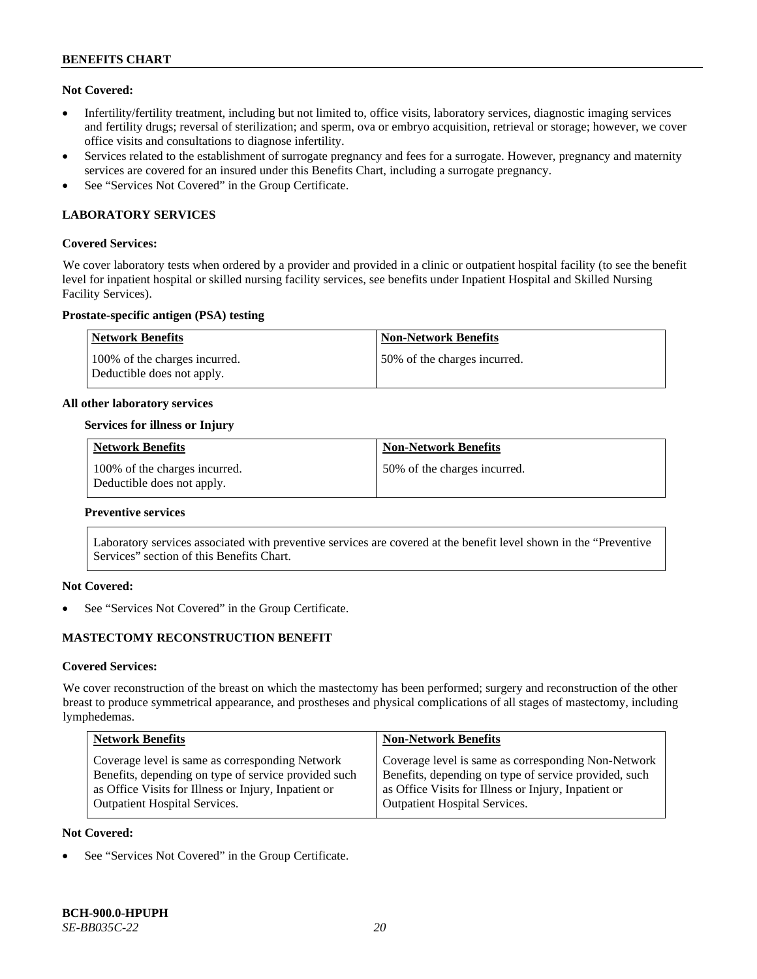### **Not Covered:**

- Infertility/fertility treatment, including but not limited to, office visits, laboratory services, diagnostic imaging services and fertility drugs; reversal of sterilization; and sperm, ova or embryo acquisition, retrieval or storage; however, we cover office visits and consultations to diagnose infertility.
- Services related to the establishment of surrogate pregnancy and fees for a surrogate. However, pregnancy and maternity services are covered for an insured under this Benefits Chart, including a surrogate pregnancy.
- See "Services Not Covered" in the Group Certificate.

# **LABORATORY SERVICES**

### **Covered Services:**

We cover laboratory tests when ordered by a provider and provided in a clinic or outpatient hospital facility (to see the benefit level for inpatient hospital or skilled nursing facility services, see benefits under Inpatient Hospital and Skilled Nursing Facility Services).

### **Prostate-specific antigen (PSA) testing**

| <b>Network Benefits</b>                                     | <b>Non-Network Benefits</b>  |
|-------------------------------------------------------------|------------------------------|
| 100% of the charges incurred.<br>Deductible does not apply. | 50% of the charges incurred. |

#### **All other laboratory services**

### **Services for illness or Injury**

| <b>Network Benefits</b>                                     | <b>Non-Network Benefits</b>  |
|-------------------------------------------------------------|------------------------------|
| 100% of the charges incurred.<br>Deductible does not apply. | 50% of the charges incurred. |

#### **Preventive services**

Laboratory services associated with preventive services are covered at the benefit level shown in the "Preventive Services" section of this Benefits Chart.

# **Not Covered:**

See "Services Not Covered" in the Group Certificate.

# **MASTECTOMY RECONSTRUCTION BENEFIT**

#### **Covered Services:**

We cover reconstruction of the breast on which the mastectomy has been performed; surgery and reconstruction of the other breast to produce symmetrical appearance, and prostheses and physical complications of all stages of mastectomy, including lymphedemas.

| <b>Non-Network Benefits</b>                                                                                                                                                                                  |
|--------------------------------------------------------------------------------------------------------------------------------------------------------------------------------------------------------------|
| Coverage level is same as corresponding Non-Network<br>Benefits, depending on type of service provided, such<br>as Office Visits for Illness or Injury, Inpatient or<br><b>Outpatient Hospital Services.</b> |
|                                                                                                                                                                                                              |

#### **Not Covered:**

See "Services Not Covered" in the Group Certificate.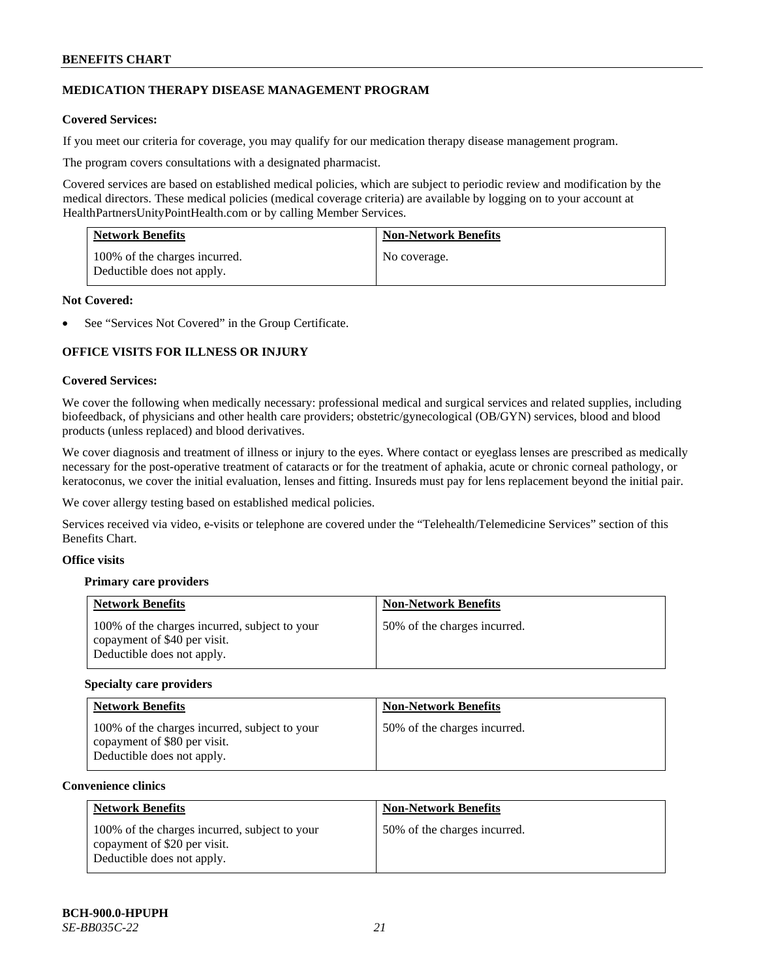# **MEDICATION THERAPY DISEASE MANAGEMENT PROGRAM**

# **Covered Services:**

If you meet our criteria for coverage, you may qualify for our medication therapy disease management program.

The program covers consultations with a designated pharmacist.

Covered services are based on established medical policies, which are subject to periodic review and modification by the medical directors. These medical policies (medical coverage criteria) are available by logging on to your account at [HealthPartnersUnityPointHealth.com](https://www.healthpartnersunitypointhealth.com/) or by calling Member Services.

| <b>Network Benefits</b>                                     | <b>Non-Network Benefits</b> |
|-------------------------------------------------------------|-----------------------------|
| 100% of the charges incurred.<br>Deductible does not apply. | No coverage.                |

### **Not Covered:**

See "Services Not Covered" in the Group Certificate.

# **OFFICE VISITS FOR ILLNESS OR INJURY**

### **Covered Services:**

We cover the following when medically necessary: professional medical and surgical services and related supplies, including biofeedback, of physicians and other health care providers; obstetric/gynecological (OB/GYN) services, blood and blood products (unless replaced) and blood derivatives.

We cover diagnosis and treatment of illness or injury to the eyes. Where contact or eyeglass lenses are prescribed as medically necessary for the post-operative treatment of cataracts or for the treatment of aphakia, acute or chronic corneal pathology, or keratoconus, we cover the initial evaluation, lenses and fitting. Insureds must pay for lens replacement beyond the initial pair.

We cover allergy testing based on established medical policies.

Services received via video, e-visits or telephone are covered under the "Telehealth/Telemedicine Services" section of this Benefits Chart.

# **Office visits**

# **Primary care providers**

| <b>Network Benefits</b>                                                                                     | <b>Non-Network Benefits</b>  |
|-------------------------------------------------------------------------------------------------------------|------------------------------|
| 100% of the charges incurred, subject to your<br>copayment of \$40 per visit.<br>Deductible does not apply. | 50% of the charges incurred. |

#### **Specialty care providers**

| <b>Network Benefits</b>                                                                                     | <b>Non-Network Benefits</b>  |
|-------------------------------------------------------------------------------------------------------------|------------------------------|
| 100% of the charges incurred, subject to your<br>copayment of \$80 per visit.<br>Deductible does not apply. | 50% of the charges incurred. |

#### **Convenience clinics**

| <b>Network Benefits</b>                                                                                     | <b>Non-Network Benefits</b>  |
|-------------------------------------------------------------------------------------------------------------|------------------------------|
| 100% of the charges incurred, subject to your<br>copayment of \$20 per visit.<br>Deductible does not apply. | 50% of the charges incurred. |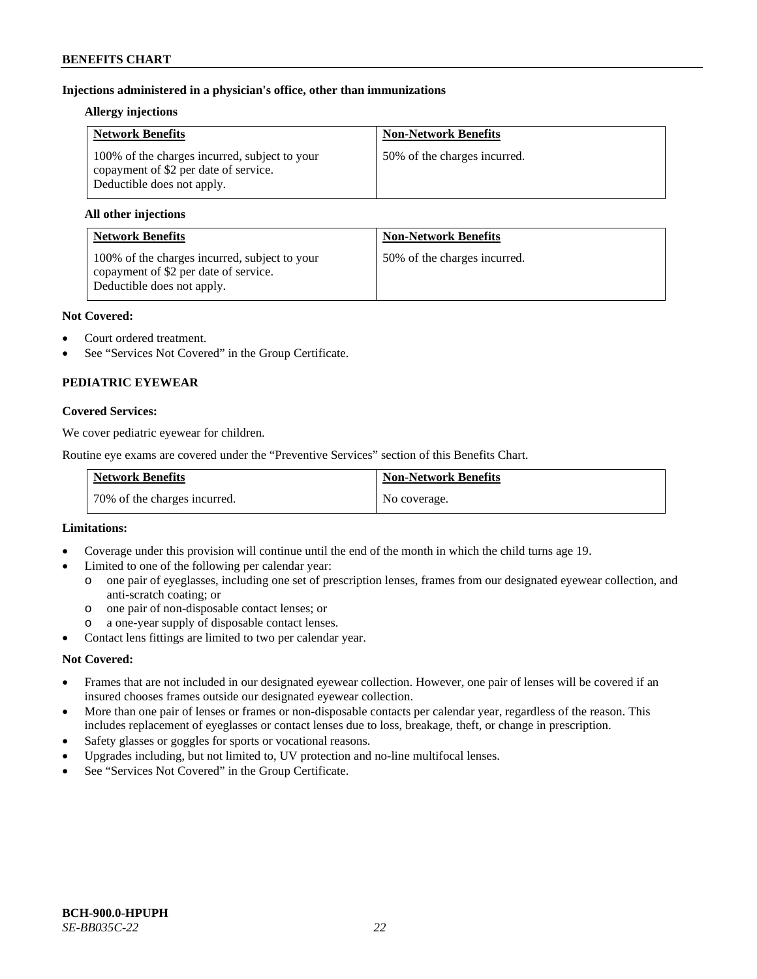# **Injections administered in a physician's office, other than immunizations**

### **Allergy injections**

| <b>Network Benefits</b>                                                                                              | <b>Non-Network Benefits</b>  |
|----------------------------------------------------------------------------------------------------------------------|------------------------------|
| 100% of the charges incurred, subject to your<br>copayment of \$2 per date of service.<br>Deductible does not apply. | 50% of the charges incurred. |

### **All other injections**

| <b>Network Benefits</b>                                                                                              | <b>Non-Network Benefits</b>  |
|----------------------------------------------------------------------------------------------------------------------|------------------------------|
| 100% of the charges incurred, subject to your<br>copayment of \$2 per date of service.<br>Deductible does not apply. | 50% of the charges incurred. |

### **Not Covered:**

- Court ordered treatment.
- See "Services Not Covered" in the Group Certificate.

# **PEDIATRIC EYEWEAR**

### **Covered Services:**

We cover pediatric eyewear for children.

Routine eye exams are covered under the "Preventive Services" section of this Benefits Chart.

| <b>Network Benefits</b>      | <b>Non-Network Benefits</b> |
|------------------------------|-----------------------------|
| 70% of the charges incurred. | No coverage.                |

#### **Limitations:**

- Coverage under this provision will continue until the end of the month in which the child turns age 19.
- Limited to one of the following per calendar year:
	- o one pair of eyeglasses, including one set of prescription lenses, frames from our designated eyewear collection, and anti-scratch coating; or
	- o one pair of non-disposable contact lenses; or
	- a one-year supply of disposable contact lenses.
- Contact lens fittings are limited to two per calendar year.

# **Not Covered:**

- Frames that are not included in our designated eyewear collection. However, one pair of lenses will be covered if an insured chooses frames outside our designated eyewear collection.
- More than one pair of lenses or frames or non-disposable contacts per calendar year, regardless of the reason. This includes replacement of eyeglasses or contact lenses due to loss, breakage, theft, or change in prescription.
- Safety glasses or goggles for sports or vocational reasons.
- Upgrades including, but not limited to, UV protection and no-line multifocal lenses.
- See "Services Not Covered" in the Group Certificate.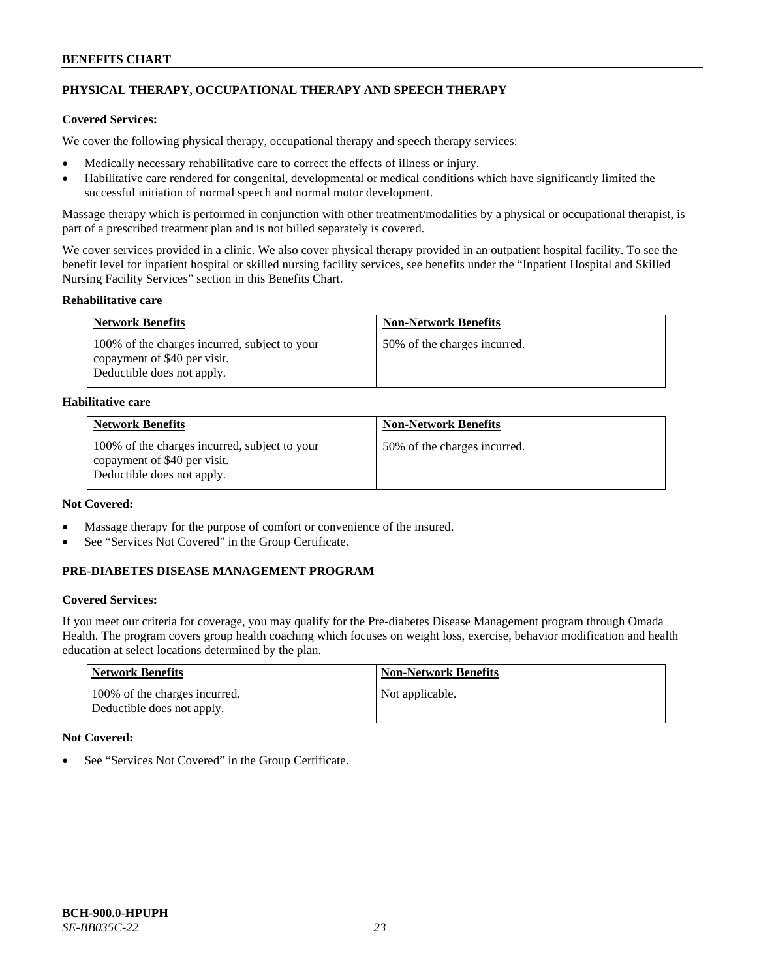# **PHYSICAL THERAPY, OCCUPATIONAL THERAPY AND SPEECH THERAPY**

# **Covered Services:**

We cover the following physical therapy, occupational therapy and speech therapy services:

- Medically necessary rehabilitative care to correct the effects of illness or injury.
- Habilitative care rendered for congenital, developmental or medical conditions which have significantly limited the successful initiation of normal speech and normal motor development.

Massage therapy which is performed in conjunction with other treatment/modalities by a physical or occupational therapist, is part of a prescribed treatment plan and is not billed separately is covered.

We cover services provided in a clinic. We also cover physical therapy provided in an outpatient hospital facility. To see the benefit level for inpatient hospital or skilled nursing facility services, see benefits under the "Inpatient Hospital and Skilled Nursing Facility Services" section in this Benefits Chart.

### **Rehabilitative care**

| <b>Network Benefits</b>                                                                                     | <b>Non-Network Benefits</b>  |
|-------------------------------------------------------------------------------------------------------------|------------------------------|
| 100% of the charges incurred, subject to your<br>copayment of \$40 per visit.<br>Deductible does not apply. | 50% of the charges incurred. |

### **Habilitative care**

| <b>Network Benefits</b>                                                                                     | <b>Non-Network Benefits</b>  |
|-------------------------------------------------------------------------------------------------------------|------------------------------|
| 100% of the charges incurred, subject to your<br>copayment of \$40 per visit.<br>Deductible does not apply. | 50% of the charges incurred. |

# **Not Covered:**

- Massage therapy for the purpose of comfort or convenience of the insured.
- See "Services Not Covered" in the Group Certificate.

# **PRE-DIABETES DISEASE MANAGEMENT PROGRAM**

# **Covered Services:**

If you meet our criteria for coverage, you may qualify for the Pre-diabetes Disease Management program through Omada Health. The program covers group health coaching which focuses on weight loss, exercise, behavior modification and health education at select locations determined by the plan.

| Network Benefits                                            | <b>Non-Network Benefits</b> |
|-------------------------------------------------------------|-----------------------------|
| 100% of the charges incurred.<br>Deductible does not apply. | Not applicable.             |

# **Not Covered:**

See "Services Not Covered" in the Group Certificate.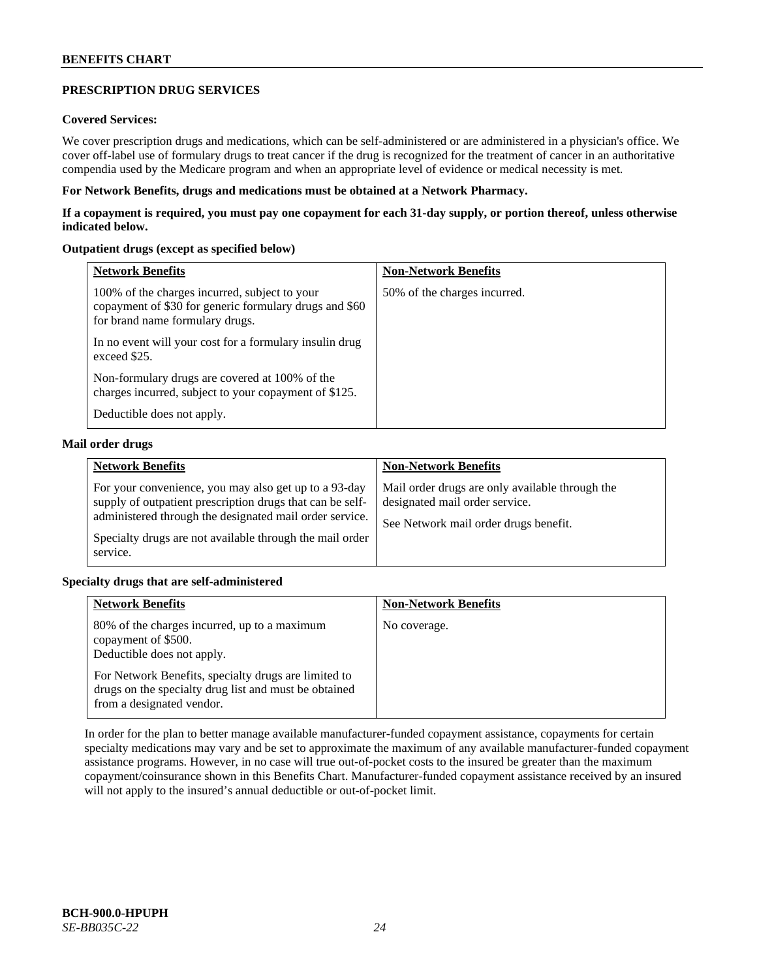# **PRESCRIPTION DRUG SERVICES**

# **Covered Services:**

We cover prescription drugs and medications, which can be self-administered or are administered in a physician's office. We cover off-label use of formulary drugs to treat cancer if the drug is recognized for the treatment of cancer in an authoritative compendia used by the Medicare program and when an appropriate level of evidence or medical necessity is met.

### **For Network Benefits, drugs and medications must be obtained at a Network Pharmacy.**

**If a copayment is required, you must pay one copayment for each 31-day supply, or portion thereof, unless otherwise indicated below.**

### **Outpatient drugs (except as specified below)**

| <b>Network Benefits</b>                                                                                                                    | <b>Non-Network Benefits</b>  |
|--------------------------------------------------------------------------------------------------------------------------------------------|------------------------------|
| 100% of the charges incurred, subject to your<br>copayment of \$30 for generic formulary drugs and \$60<br>for brand name formulary drugs. | 50% of the charges incurred. |
| In no event will your cost for a formulary insulin drug<br>exceed \$25.                                                                    |                              |
| Non-formulary drugs are covered at 100% of the<br>charges incurred, subject to your copayment of \$125.                                    |                              |
| Deductible does not apply.                                                                                                                 |                              |

### **Mail order drugs**

| <b>Network Benefits</b>                                                                                                                                                                                                                               | <b>Non-Network Benefits</b>                                                                                                |
|-------------------------------------------------------------------------------------------------------------------------------------------------------------------------------------------------------------------------------------------------------|----------------------------------------------------------------------------------------------------------------------------|
| For your convenience, you may also get up to a 93-day<br>supply of outpatient prescription drugs that can be self-<br>administered through the designated mail order service.<br>Specialty drugs are not available through the mail order<br>service. | Mail order drugs are only available through the<br>designated mail order service.<br>See Network mail order drugs benefit. |

# **Specialty drugs that are self-administered**

| <b>Network Benefits</b>                                                                                                                    | <b>Non-Network Benefits</b> |
|--------------------------------------------------------------------------------------------------------------------------------------------|-----------------------------|
| 80% of the charges incurred, up to a maximum<br>copayment of \$500.<br>Deductible does not apply.                                          | No coverage.                |
| For Network Benefits, specialty drugs are limited to<br>drugs on the specialty drug list and must be obtained<br>from a designated vendor. |                             |

In order for the plan to better manage available manufacturer-funded copayment assistance, copayments for certain specialty medications may vary and be set to approximate the maximum of any available manufacturer-funded copayment assistance programs. However, in no case will true out-of-pocket costs to the insured be greater than the maximum copayment/coinsurance shown in this Benefits Chart. Manufacturer-funded copayment assistance received by an insured will not apply to the insured's annual deductible or out-of-pocket limit.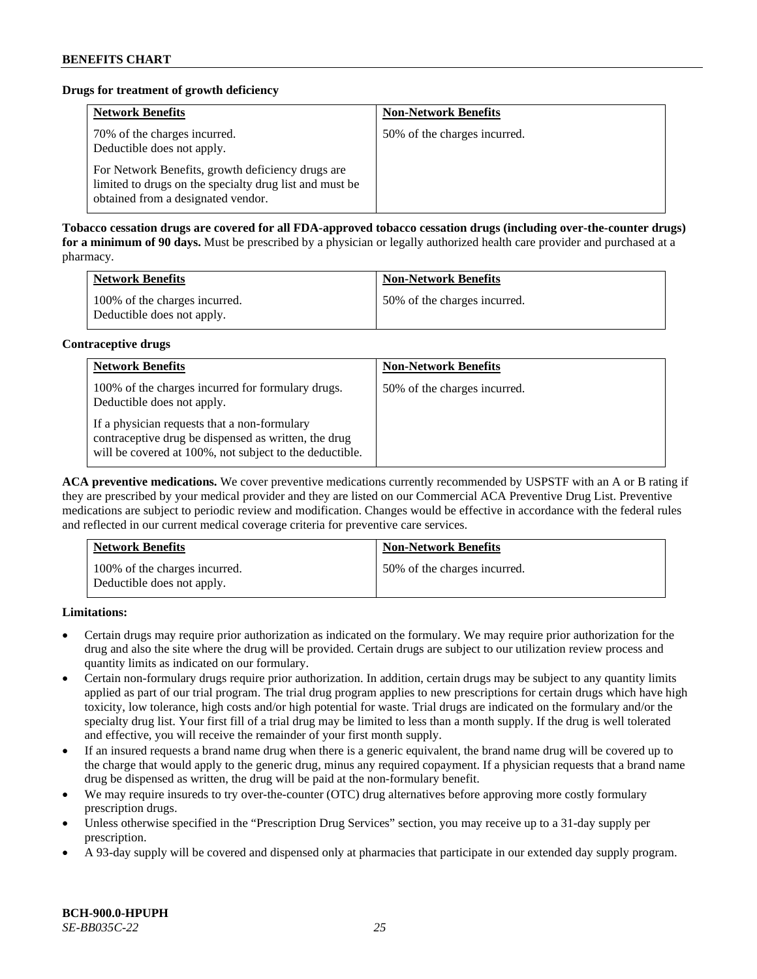# **Drugs for treatment of growth deficiency**

| <b>Network Benefits</b>                                                                                                                            | <b>Non-Network Benefits</b>  |
|----------------------------------------------------------------------------------------------------------------------------------------------------|------------------------------|
| 70% of the charges incurred.<br>Deductible does not apply.                                                                                         | 50% of the charges incurred. |
| For Network Benefits, growth deficiency drugs are<br>limited to drugs on the specialty drug list and must be<br>obtained from a designated vendor. |                              |

**Tobacco cessation drugs are covered for all FDA-approved tobacco cessation drugs (including over-the-counter drugs) for a minimum of 90 days.** Must be prescribed by a physician or legally authorized health care provider and purchased at a pharmacy.

| <b>Network Benefits</b>                                     | <b>Non-Network Benefits</b>  |
|-------------------------------------------------------------|------------------------------|
| 100% of the charges incurred.<br>Deductible does not apply. | 50% of the charges incurred. |

### **Contraceptive drugs**

| <b>Network Benefits</b>                                                                                                                                         | <b>Non-Network Benefits</b>  |
|-----------------------------------------------------------------------------------------------------------------------------------------------------------------|------------------------------|
| 100% of the charges incurred for formulary drugs.<br>Deductible does not apply.                                                                                 | 50% of the charges incurred. |
| If a physician requests that a non-formulary<br>contraceptive drug be dispensed as written, the drug<br>will be covered at 100%, not subject to the deductible. |                              |

**ACA preventive medications.** We cover preventive medications currently recommended by USPSTF with an A or B rating if they are prescribed by your medical provider and they are listed on our Commercial ACA Preventive Drug List. Preventive medications are subject to periodic review and modification. Changes would be effective in accordance with the federal rules and reflected in our current medical coverage criteria for preventive care services.

| <b>Network Benefits</b>                                     | <b>Non-Network Benefits</b>  |
|-------------------------------------------------------------|------------------------------|
| 100% of the charges incurred.<br>Deductible does not apply. | 50% of the charges incurred. |

**Limitations:**

- Certain drugs may require prior authorization as indicated on the formulary. We may require prior authorization for the drug and also the site where the drug will be provided. Certain drugs are subject to our utilization review process and quantity limits as indicated on our formulary.
- Certain non-formulary drugs require prior authorization. In addition, certain drugs may be subject to any quantity limits applied as part of our trial program. The trial drug program applies to new prescriptions for certain drugs which have high toxicity, low tolerance, high costs and/or high potential for waste. Trial drugs are indicated on the formulary and/or the specialty drug list. Your first fill of a trial drug may be limited to less than a month supply. If the drug is well tolerated and effective, you will receive the remainder of your first month supply.
- If an insured requests a brand name drug when there is a generic equivalent, the brand name drug will be covered up to the charge that would apply to the generic drug, minus any required copayment. If a physician requests that a brand name drug be dispensed as written, the drug will be paid at the non-formulary benefit.
- We may require insureds to try over-the-counter (OTC) drug alternatives before approving more costly formulary prescription drugs.
- Unless otherwise specified in the "Prescription Drug Services" section, you may receive up to a 31-day supply per prescription.
- A 93-day supply will be covered and dispensed only at pharmacies that participate in our extended day supply program.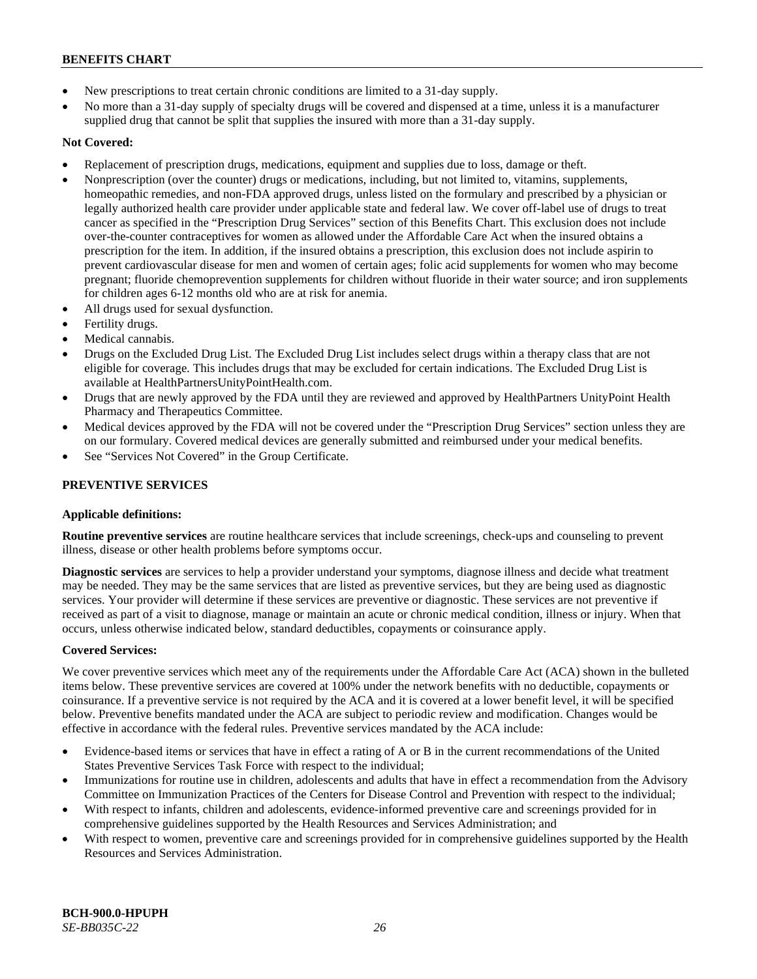- New prescriptions to treat certain chronic conditions are limited to a 31-day supply.
- No more than a 31-day supply of specialty drugs will be covered and dispensed at a time, unless it is a manufacturer supplied drug that cannot be split that supplies the insured with more than a 31-day supply.

# **Not Covered:**

- Replacement of prescription drugs, medications, equipment and supplies due to loss, damage or theft.
- Nonprescription (over the counter) drugs or medications, including, but not limited to, vitamins, supplements, homeopathic remedies, and non-FDA approved drugs, unless listed on the formulary and prescribed by a physician or legally authorized health care provider under applicable state and federal law. We cover off-label use of drugs to treat cancer as specified in the "Prescription Drug Services" section of this Benefits Chart. This exclusion does not include over-the-counter contraceptives for women as allowed under the Affordable Care Act when the insured obtains a prescription for the item. In addition, if the insured obtains a prescription, this exclusion does not include aspirin to prevent cardiovascular disease for men and women of certain ages; folic acid supplements for women who may become pregnant; fluoride chemoprevention supplements for children without fluoride in their water source; and iron supplements for children ages 6-12 months old who are at risk for anemia.
- All drugs used for sexual dysfunction.
- Fertility drugs.
- Medical cannabis.
- Drugs on the Excluded Drug List. The Excluded Drug List includes select drugs within a therapy class that are not eligible for coverage. This includes drugs that may be excluded for certain indications. The Excluded Drug List is available a[t HealthPartnersUnityPointHealth.com.](https://www.healthpartnersunitypointhealth.com/)
- Drugs that are newly approved by the FDA until they are reviewed and approved by HealthPartners UnityPoint Health Pharmacy and Therapeutics Committee.
- Medical devices approved by the FDA will not be covered under the "Prescription Drug Services" section unless they are on our formulary. Covered medical devices are generally submitted and reimbursed under your medical benefits.
- See "Services Not Covered" in the Group Certificate.

# **PREVENTIVE SERVICES**

# **Applicable definitions:**

**Routine preventive services** are routine healthcare services that include screenings, check-ups and counseling to prevent illness, disease or other health problems before symptoms occur.

**Diagnostic services** are services to help a provider understand your symptoms, diagnose illness and decide what treatment may be needed. They may be the same services that are listed as preventive services, but they are being used as diagnostic services. Your provider will determine if these services are preventive or diagnostic. These services are not preventive if received as part of a visit to diagnose, manage or maintain an acute or chronic medical condition, illness or injury. When that occurs, unless otherwise indicated below, standard deductibles, copayments or coinsurance apply.

# **Covered Services:**

We cover preventive services which meet any of the requirements under the Affordable Care Act (ACA) shown in the bulleted items below. These preventive services are covered at 100% under the network benefits with no deductible, copayments or coinsurance. If a preventive service is not required by the ACA and it is covered at a lower benefit level, it will be specified below. Preventive benefits mandated under the ACA are subject to periodic review and modification. Changes would be effective in accordance with the federal rules. Preventive services mandated by the ACA include:

- Evidence-based items or services that have in effect a rating of A or B in the current recommendations of the United States Preventive Services Task Force with respect to the individual;
- Immunizations for routine use in children, adolescents and adults that have in effect a recommendation from the Advisory Committee on Immunization Practices of the Centers for Disease Control and Prevention with respect to the individual;
- With respect to infants, children and adolescents, evidence-informed preventive care and screenings provided for in comprehensive guidelines supported by the Health Resources and Services Administration; and
- With respect to women, preventive care and screenings provided for in comprehensive guidelines supported by the Health Resources and Services Administration.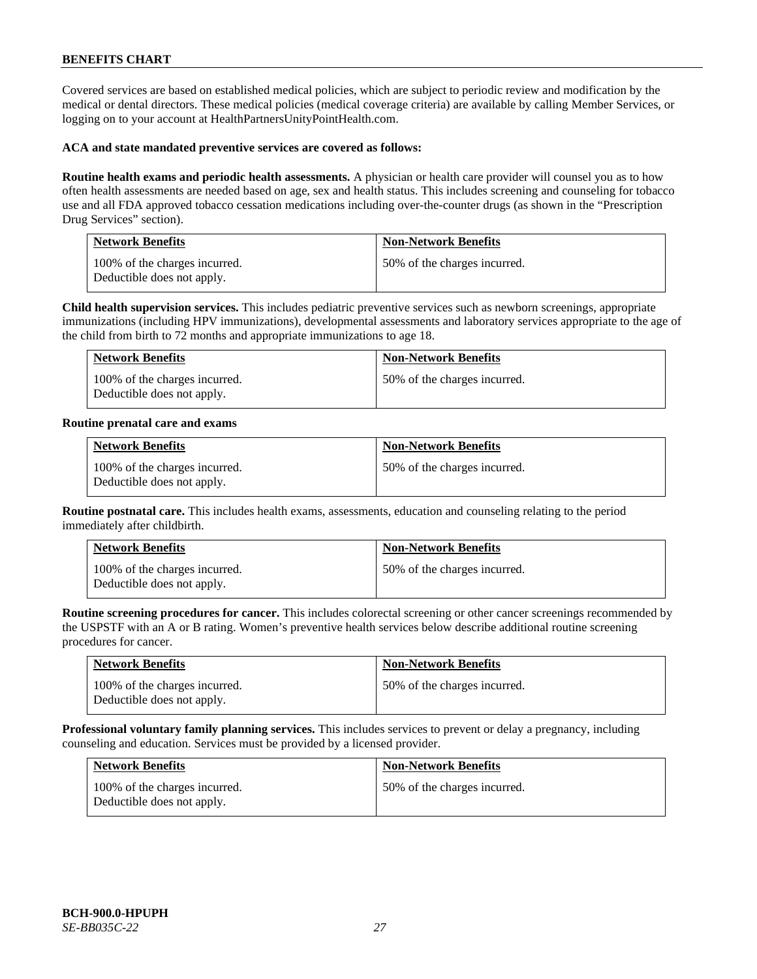Covered services are based on established medical policies, which are subject to periodic review and modification by the medical or dental directors. These medical policies (medical coverage criteria) are available by calling Member Services, or logging on to your account at [HealthPartnersUnityPointHealth.com.](https://www.healthpartnersunitypointhealth.com/)

### **ACA and state mandated preventive services are covered as follows:**

**Routine health exams and periodic health assessments.** A physician or health care provider will counsel you as to how often health assessments are needed based on age, sex and health status. This includes screening and counseling for tobacco use and all FDA approved tobacco cessation medications including over-the-counter drugs (as shown in the "Prescription Drug Services" section).

| <b>Network Benefits</b>                                     | <b>Non-Network Benefits</b>  |
|-------------------------------------------------------------|------------------------------|
| 100% of the charges incurred.<br>Deductible does not apply. | 50% of the charges incurred. |

**Child health supervision services.** This includes pediatric preventive services such as newborn screenings, appropriate immunizations (including HPV immunizations), developmental assessments and laboratory services appropriate to the age of the child from birth to 72 months and appropriate immunizations to age 18.

| <b>Network Benefits</b>                                     | <b>Non-Network Benefits</b>  |
|-------------------------------------------------------------|------------------------------|
| 100% of the charges incurred.<br>Deductible does not apply. | 50% of the charges incurred. |

#### **Routine prenatal care and exams**

| <b>Network Benefits</b>                                     | <b>Non-Network Benefits</b>  |
|-------------------------------------------------------------|------------------------------|
| 100% of the charges incurred.<br>Deductible does not apply. | 50% of the charges incurred. |

**Routine postnatal care.** This includes health exams, assessments, education and counseling relating to the period immediately after childbirth.

| <b>Network Benefits</b>                                     | <b>Non-Network Benefits</b>  |
|-------------------------------------------------------------|------------------------------|
| 100% of the charges incurred.<br>Deductible does not apply. | 50% of the charges incurred. |

**Routine screening procedures for cancer.** This includes colorectal screening or other cancer screenings recommended by the USPSTF with an A or B rating. Women's preventive health services below describe additional routine screening procedures for cancer.

| <b>Network Benefits</b>                                     | <b>Non-Network Benefits</b>  |
|-------------------------------------------------------------|------------------------------|
| 100% of the charges incurred.<br>Deductible does not apply. | 50% of the charges incurred. |

**Professional voluntary family planning services.** This includes services to prevent or delay a pregnancy, including counseling and education. Services must be provided by a licensed provider.

| <b>Network Benefits</b>                                     | <b>Non-Network Benefits</b>  |
|-------------------------------------------------------------|------------------------------|
| 100% of the charges incurred.<br>Deductible does not apply. | 50% of the charges incurred. |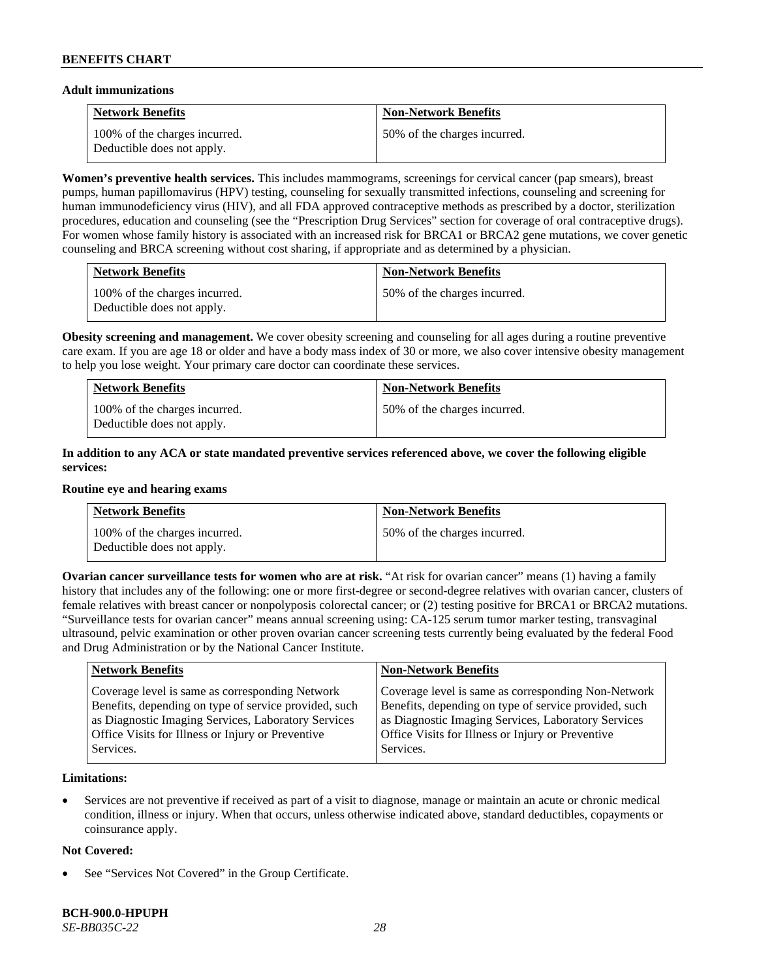### **Adult immunizations**

| <b>Network Benefits</b>                                     | <b>Non-Network Benefits</b>  |
|-------------------------------------------------------------|------------------------------|
| 100% of the charges incurred.<br>Deductible does not apply. | 50% of the charges incurred. |

**Women's preventive health services.** This includes mammograms, screenings for cervical cancer (pap smears), breast pumps, human papillomavirus (HPV) testing, counseling for sexually transmitted infections, counseling and screening for human immunodeficiency virus (HIV), and all FDA approved contraceptive methods as prescribed by a doctor, sterilization procedures, education and counseling (see the "Prescription Drug Services" section for coverage of oral contraceptive drugs). For women whose family history is associated with an increased risk for BRCA1 or BRCA2 gene mutations, we cover genetic counseling and BRCA screening without cost sharing, if appropriate and as determined by a physician.

| <b>Network Benefits</b>                                     | <b>Non-Network Benefits</b>  |
|-------------------------------------------------------------|------------------------------|
| 100% of the charges incurred.<br>Deductible does not apply. | 50% of the charges incurred. |

**Obesity screening and management.** We cover obesity screening and counseling for all ages during a routine preventive care exam. If you are age 18 or older and have a body mass index of 30 or more, we also cover intensive obesity management to help you lose weight. Your primary care doctor can coordinate these services.

| <b>Network Benefits</b>                                     | <b>Non-Network Benefits</b>  |
|-------------------------------------------------------------|------------------------------|
| 100% of the charges incurred.<br>Deductible does not apply. | 50% of the charges incurred. |

# **In addition to any ACA or state mandated preventive services referenced above, we cover the following eligible services:**

#### **Routine eye and hearing exams**

| <b>Network Benefits</b>                                     | <b>Non-Network Benefits</b>  |
|-------------------------------------------------------------|------------------------------|
| 100% of the charges incurred.<br>Deductible does not apply. | 50% of the charges incurred. |

**Ovarian cancer surveillance tests for women who are at risk. "At risk for ovarian cancer" means (1) having a family** history that includes any of the following: one or more first-degree or second-degree relatives with ovarian cancer, clusters of female relatives with breast cancer or nonpolyposis colorectal cancer; or (2) testing positive for BRCA1 or BRCA2 mutations. "Surveillance tests for ovarian cancer" means annual screening using: CA-125 serum tumor marker testing, transvaginal ultrasound, pelvic examination or other proven ovarian cancer screening tests currently being evaluated by the federal Food and Drug Administration or by the National Cancer Institute.

| <b>Network Benefits</b>                               | <b>Non-Network Benefits</b>                           |
|-------------------------------------------------------|-------------------------------------------------------|
| Coverage level is same as corresponding Network       | Coverage level is same as corresponding Non-Network   |
| Benefits, depending on type of service provided, such | Benefits, depending on type of service provided, such |
| as Diagnostic Imaging Services, Laboratory Services   | as Diagnostic Imaging Services, Laboratory Services   |
| Office Visits for Illness or Injury or Preventive     | Office Visits for Illness or Injury or Preventive     |
| Services.                                             | Services.                                             |

### **Limitations:**

• Services are not preventive if received as part of a visit to diagnose, manage or maintain an acute or chronic medical condition, illness or injury. When that occurs, unless otherwise indicated above, standard deductibles, copayments or coinsurance apply.

# **Not Covered:**

See "Services Not Covered" in the Group Certificate.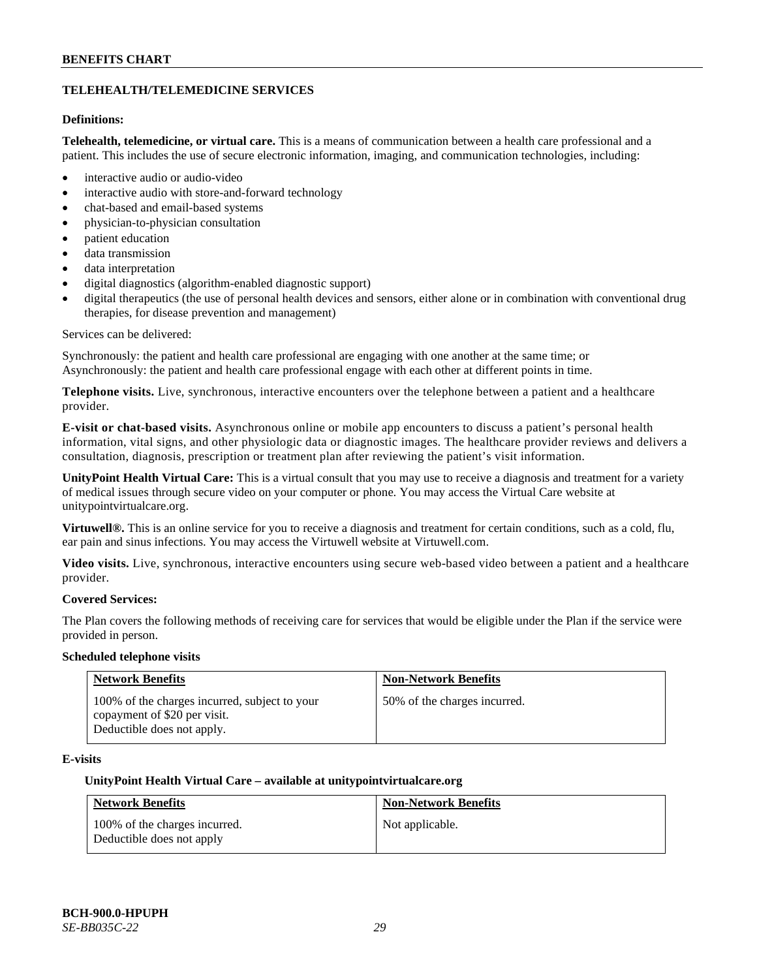# **TELEHEALTH/TELEMEDICINE SERVICES**

# **Definitions:**

**Telehealth, telemedicine, or virtual care.** This is a means of communication between a health care professional and a patient. This includes the use of secure electronic information, imaging, and communication technologies, including:

- interactive audio or audio-video
- interactive audio with store-and-forward technology
- chat-based and email-based systems
- physician-to-physician consultation
- patient education
- data transmission
- data interpretation
- digital diagnostics (algorithm-enabled diagnostic support)
- digital therapeutics (the use of personal health devices and sensors, either alone or in combination with conventional drug therapies, for disease prevention and management)

#### Services can be delivered:

Synchronously: the patient and health care professional are engaging with one another at the same time; or Asynchronously: the patient and health care professional engage with each other at different points in time.

**Telephone visits.** Live, synchronous, interactive encounters over the telephone between a patient and a healthcare provider.

**E-visit or chat-based visits.** Asynchronous online or mobile app encounters to discuss a patient's personal health information, vital signs, and other physiologic data or diagnostic images. The healthcare provider reviews and delivers a consultation, diagnosis, prescription or treatment plan after reviewing the patient's visit information.

**UnityPoint Health Virtual Care:** This is a virtual consult that you may use to receive a diagnosis and treatment for a variety of medical issues through secure video on your computer or phone. You may access the Virtual Care website at [unitypointvirtualcare.org.](https://unitypointvirtualcare.org/landing.htm)

**Virtuwell®.** This is an online service for you to receive a diagnosis and treatment for certain conditions, such as a cold, flu, ear pain and sinus infections. You may access the Virtuwell website at [Virtuwell.com.](https://www.virtuwell.com/)

**Video visits.** Live, synchronous, interactive encounters using secure web-based video between a patient and a healthcare provider.

# **Covered Services:**

The Plan covers the following methods of receiving care for services that would be eligible under the Plan if the service were provided in person.

#### **Scheduled telephone visits**

| <b>Network Benefits</b>                                                                                     | <b>Non-Network Benefits</b>  |
|-------------------------------------------------------------------------------------------------------------|------------------------------|
| 100% of the charges incurred, subject to your<br>copayment of \$20 per visit.<br>Deductible does not apply. | 50% of the charges incurred. |

# **E-visits**

#### **UnityPoint Health Virtual Care – available a[t unitypointvirtualcare.org](http://www.unitypointvirtualcare.org/)**

| <b>Network Benefits</b>                                    | <b>Non-Network Benefits</b> |
|------------------------------------------------------------|-----------------------------|
| 100% of the charges incurred.<br>Deductible does not apply | Not applicable.             |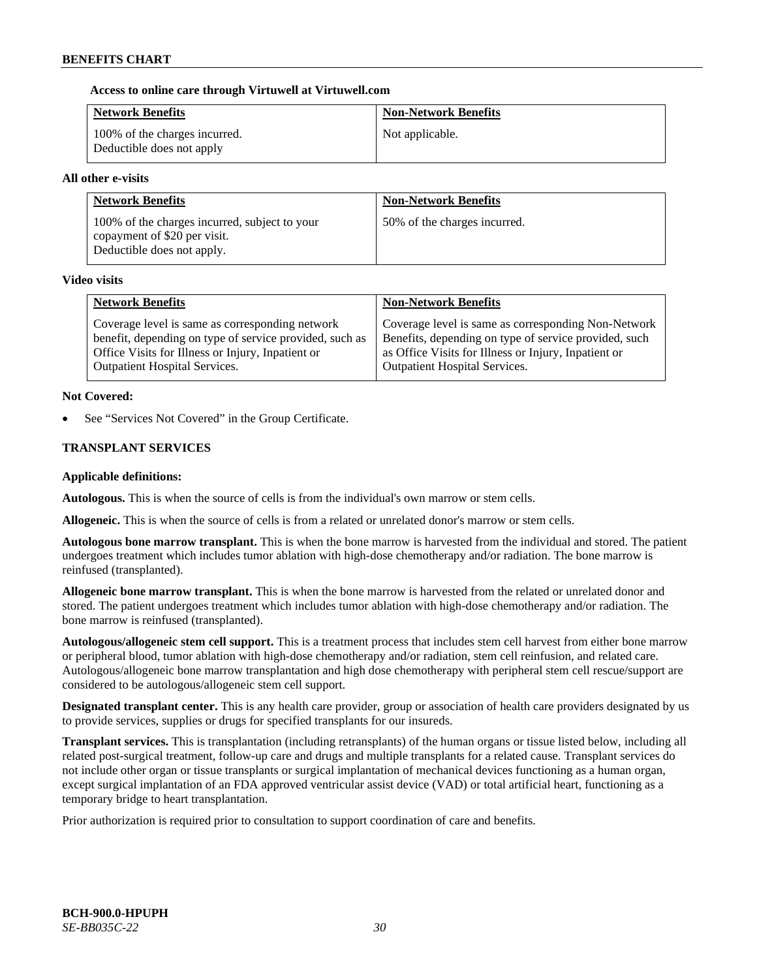### **Access to online care through Virtuwell at [Virtuwell.com](http://www.virtuwell.com/)**

| <b>Network Benefits</b>                                    | <b>Non-Network Benefits</b> |
|------------------------------------------------------------|-----------------------------|
| 100% of the charges incurred.<br>Deductible does not apply | Not applicable.             |

### **All other e-visits**

| <b>Network Benefits</b>                                                                                     | <b>Non-Network Benefits</b>  |
|-------------------------------------------------------------------------------------------------------------|------------------------------|
| 100% of the charges incurred, subject to your<br>copayment of \$20 per visit.<br>Deductible does not apply. | 50% of the charges incurred. |

#### **Video visits**

| <b>Network Benefits</b>                                 | <b>Non-Network Benefits</b>                           |
|---------------------------------------------------------|-------------------------------------------------------|
| Coverage level is same as corresponding network         | Coverage level is same as corresponding Non-Network   |
| benefit, depending on type of service provided, such as | Benefits, depending on type of service provided, such |
| Office Visits for Illness or Injury, Inpatient or       | as Office Visits for Illness or Injury, Inpatient or  |
| <b>Outpatient Hospital Services.</b>                    | <b>Outpatient Hospital Services.</b>                  |

### **Not Covered:**

See "Services Not Covered" in the Group Certificate.

# **TRANSPLANT SERVICES**

### **Applicable definitions:**

**Autologous.** This is when the source of cells is from the individual's own marrow or stem cells.

**Allogeneic.** This is when the source of cells is from a related or unrelated donor's marrow or stem cells.

**Autologous bone marrow transplant.** This is when the bone marrow is harvested from the individual and stored. The patient undergoes treatment which includes tumor ablation with high-dose chemotherapy and/or radiation. The bone marrow is reinfused (transplanted).

**Allogeneic bone marrow transplant.** This is when the bone marrow is harvested from the related or unrelated donor and stored. The patient undergoes treatment which includes tumor ablation with high-dose chemotherapy and/or radiation. The bone marrow is reinfused (transplanted).

**Autologous/allogeneic stem cell support.** This is a treatment process that includes stem cell harvest from either bone marrow or peripheral blood, tumor ablation with high-dose chemotherapy and/or radiation, stem cell reinfusion, and related care. Autologous/allogeneic bone marrow transplantation and high dose chemotherapy with peripheral stem cell rescue/support are considered to be autologous/allogeneic stem cell support.

**Designated transplant center.** This is any health care provider, group or association of health care providers designated by us to provide services, supplies or drugs for specified transplants for our insureds.

**Transplant services.** This is transplantation (including retransplants) of the human organs or tissue listed below, including all related post-surgical treatment, follow-up care and drugs and multiple transplants for a related cause. Transplant services do not include other organ or tissue transplants or surgical implantation of mechanical devices functioning as a human organ, except surgical implantation of an FDA approved ventricular assist device (VAD) or total artificial heart, functioning as a temporary bridge to heart transplantation.

Prior authorization is required prior to consultation to support coordination of care and benefits.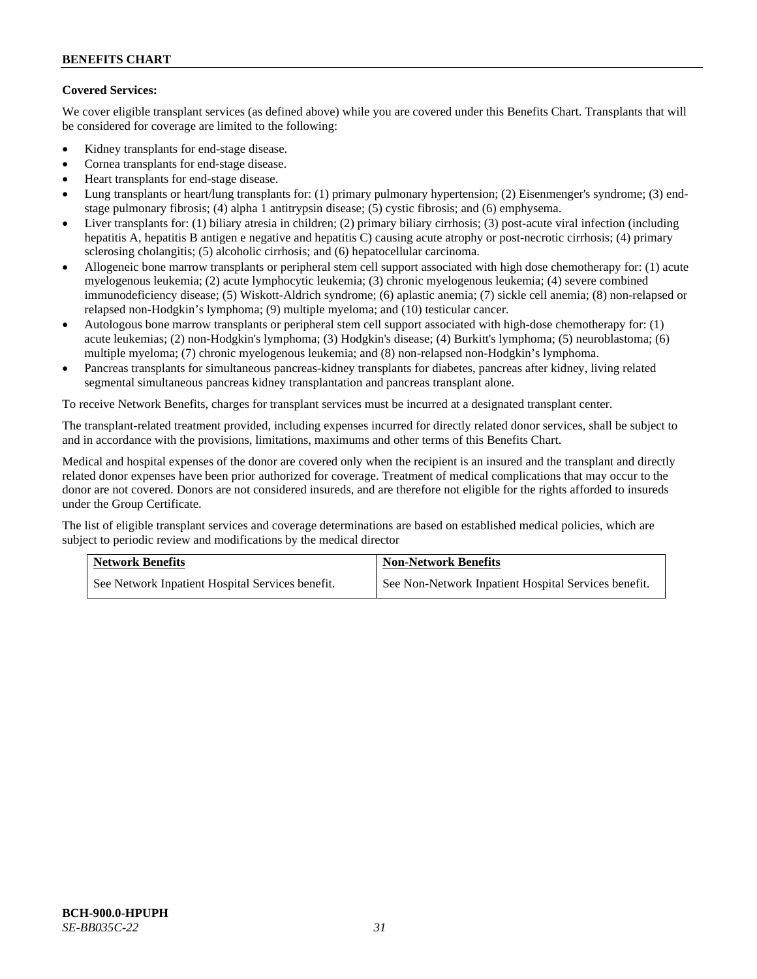# **Covered Services:**

We cover eligible transplant services (as defined above) while you are covered under this Benefits Chart. Transplants that will be considered for coverage are limited to the following:

- Kidney transplants for end-stage disease.
- Cornea transplants for end-stage disease.
- Heart transplants for end-stage disease.
- Lung transplants or heart/lung transplants for: (1) primary pulmonary hypertension; (2) Eisenmenger's syndrome; (3) endstage pulmonary fibrosis; (4) alpha 1 antitrypsin disease; (5) cystic fibrosis; and (6) emphysema.
- Liver transplants for: (1) biliary atresia in children; (2) primary biliary cirrhosis; (3) post-acute viral infection (including hepatitis A, hepatitis B antigen e negative and hepatitis C) causing acute atrophy or post-necrotic cirrhosis; (4) primary sclerosing cholangitis; (5) alcoholic cirrhosis; and (6) hepatocellular carcinoma.
- Allogeneic bone marrow transplants or peripheral stem cell support associated with high dose chemotherapy for: (1) acute myelogenous leukemia; (2) acute lymphocytic leukemia; (3) chronic myelogenous leukemia; (4) severe combined immunodeficiency disease; (5) Wiskott-Aldrich syndrome; (6) aplastic anemia; (7) sickle cell anemia; (8) non-relapsed or relapsed non-Hodgkin's lymphoma; (9) multiple myeloma; and (10) testicular cancer.
- Autologous bone marrow transplants or peripheral stem cell support associated with high-dose chemotherapy for: (1) acute leukemias; (2) non-Hodgkin's lymphoma; (3) Hodgkin's disease; (4) Burkitt's lymphoma; (5) neuroblastoma; (6) multiple myeloma; (7) chronic myelogenous leukemia; and (8) non-relapsed non-Hodgkin's lymphoma.
- Pancreas transplants for simultaneous pancreas-kidney transplants for diabetes, pancreas after kidney, living related segmental simultaneous pancreas kidney transplantation and pancreas transplant alone.

To receive Network Benefits, charges for transplant services must be incurred at a designated transplant center.

The transplant-related treatment provided, including expenses incurred for directly related donor services, shall be subject to and in accordance with the provisions, limitations, maximums and other terms of this Benefits Chart.

Medical and hospital expenses of the donor are covered only when the recipient is an insured and the transplant and directly related donor expenses have been prior authorized for coverage. Treatment of medical complications that may occur to the donor are not covered. Donors are not considered insureds, and are therefore not eligible for the rights afforded to insureds under the Group Certificate.

The list of eligible transplant services and coverage determinations are based on established medical policies, which are subject to periodic review and modifications by the medical director

| <b>Network Benefits</b> |                                                  | <b>Non-Network Benefits</b>                          |
|-------------------------|--------------------------------------------------|------------------------------------------------------|
|                         | See Network Inpatient Hospital Services benefit. | See Non-Network Inpatient Hospital Services benefit. |